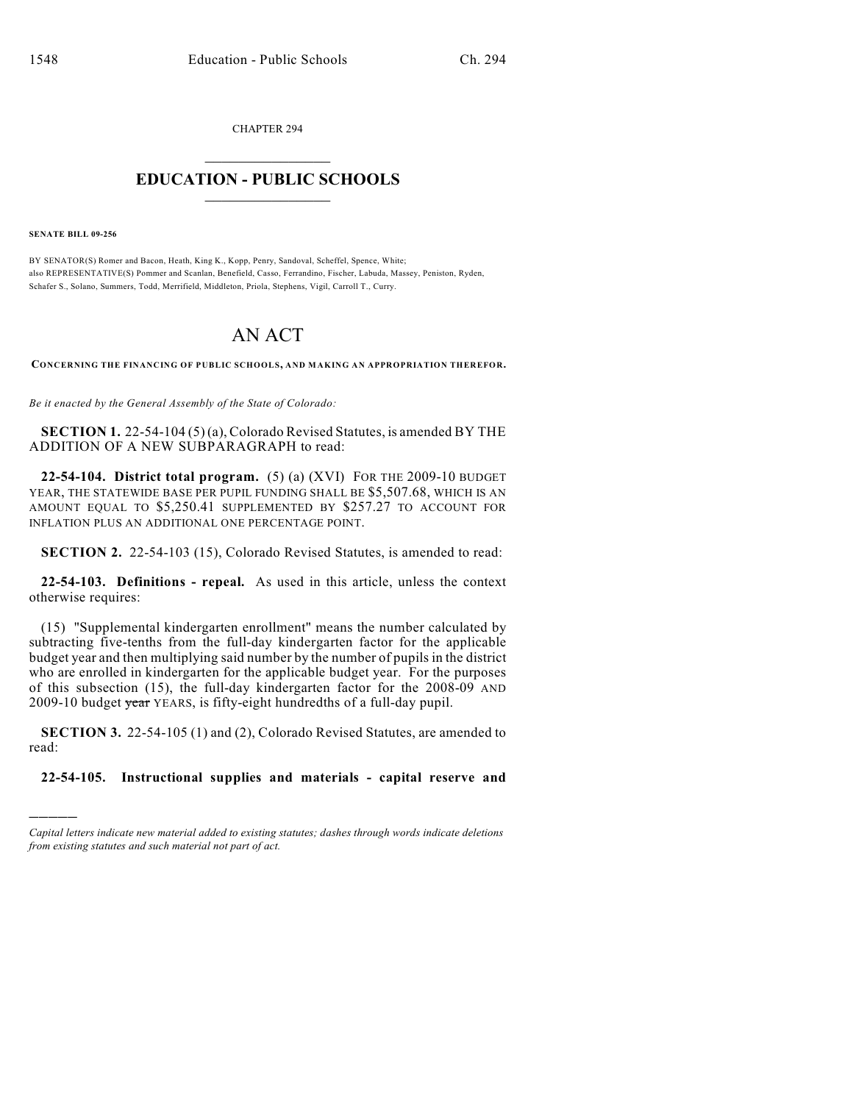CHAPTER 294

## $\overline{\phantom{a}}$  . The set of the set of the set of the set of the set of the set of the set of the set of the set of the set of the set of the set of the set of the set of the set of the set of the set of the set of the set o **EDUCATION - PUBLIC SCHOOLS**  $\_$   $\_$   $\_$   $\_$   $\_$   $\_$   $\_$   $\_$   $\_$

**SENATE BILL 09-256**

)))))

BY SENATOR(S) Romer and Bacon, Heath, King K., Kopp, Penry, Sandoval, Scheffel, Spence, White; also REPRESENTATIVE(S) Pommer and Scanlan, Benefield, Casso, Ferrandino, Fischer, Labuda, Massey, Peniston, Ryden, Schafer S., Solano, Summers, Todd, Merrifield, Middleton, Priola, Stephens, Vigil, Carroll T., Curry.

## AN ACT

**CONCERNING THE FINANCING OF PUBLIC SCHOOLS, AND MAKING AN APPROPRIATION THEREFOR.**

*Be it enacted by the General Assembly of the State of Colorado:*

**SECTION 1.** 22-54-104 (5) (a), Colorado Revised Statutes, is amended BY THE ADDITION OF A NEW SUBPARAGRAPH to read:

**22-54-104. District total program.** (5) (a) (XVI) FOR THE 2009-10 BUDGET YEAR, THE STATEWIDE BASE PER PUPIL FUNDING SHALL BE \$5,507.68, WHICH IS AN AMOUNT EQUAL TO \$5,250.41 SUPPLEMENTED BY \$257.27 TO ACCOUNT FOR INFLATION PLUS AN ADDITIONAL ONE PERCENTAGE POINT.

**SECTION 2.** 22-54-103 (15), Colorado Revised Statutes, is amended to read:

**22-54-103. Definitions - repeal.** As used in this article, unless the context otherwise requires:

(15) "Supplemental kindergarten enrollment" means the number calculated by subtracting five-tenths from the full-day kindergarten factor for the applicable budget year and then multiplying said number by the number of pupils in the district who are enrolled in kindergarten for the applicable budget year. For the purposes of this subsection (15), the full-day kindergarten factor for the 2008-09 AND 2009-10 budget year YEARS, is fifty-eight hundredths of a full-day pupil.

**SECTION 3.** 22-54-105 (1) and (2), Colorado Revised Statutes, are amended to read:

**22-54-105. Instructional supplies and materials - capital reserve and**

*Capital letters indicate new material added to existing statutes; dashes through words indicate deletions from existing statutes and such material not part of act.*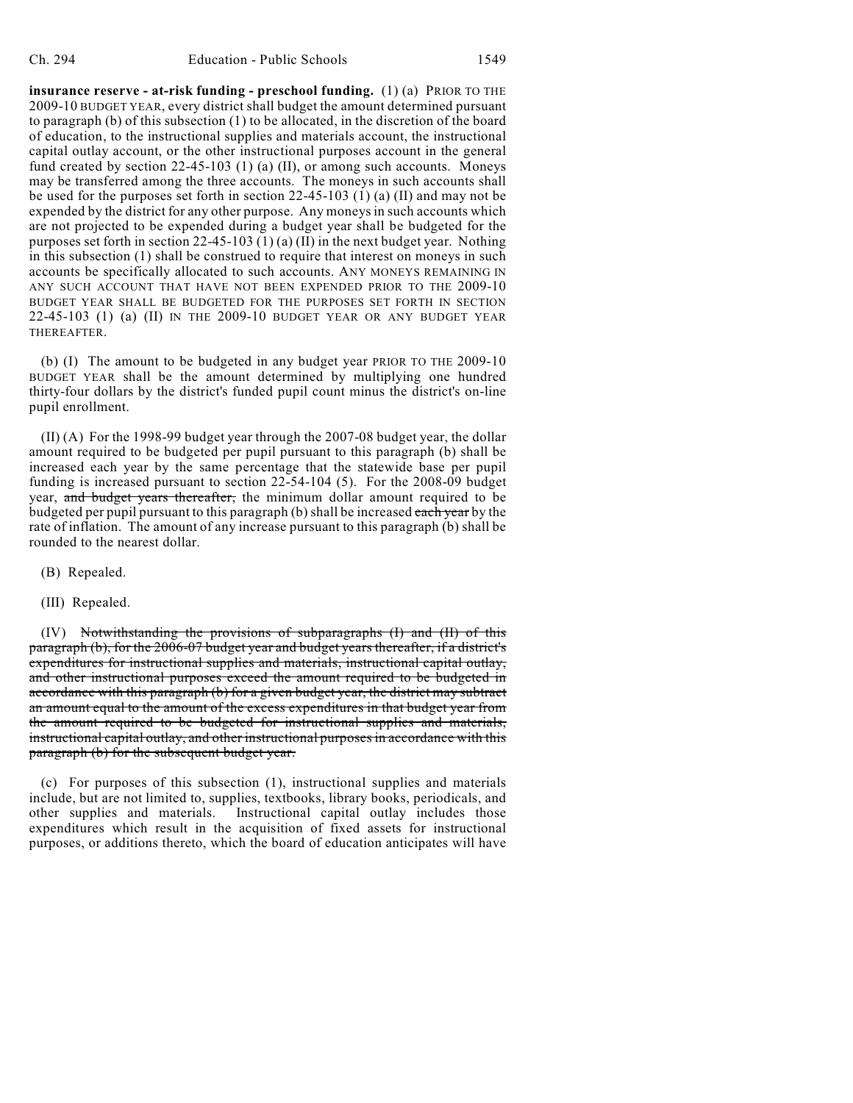**insurance reserve - at-risk funding - preschool funding.** (1) (a) PRIOR TO THE 2009-10 BUDGET YEAR, every district shall budget the amount determined pursuant to paragraph (b) of this subsection (1) to be allocated, in the discretion of the board of education, to the instructional supplies and materials account, the instructional capital outlay account, or the other instructional purposes account in the general fund created by section 22-45-103 (1) (a) (II), or among such accounts. Moneys may be transferred among the three accounts. The moneys in such accounts shall be used for the purposes set forth in section 22-45-103 (1) (a) (II) and may not be expended by the district for any other purpose. Any moneys in such accounts which are not projected to be expended during a budget year shall be budgeted for the purposes set forth in section  $22-45-103$  (1) (a) (II) in the next budget year. Nothing in this subsection (1) shall be construed to require that interest on moneys in such accounts be specifically allocated to such accounts. ANY MONEYS REMAINING IN ANY SUCH ACCOUNT THAT HAVE NOT BEEN EXPENDED PRIOR TO THE 2009-10 BUDGET YEAR SHALL BE BUDGETED FOR THE PURPOSES SET FORTH IN SECTION 22-45-103 (1) (a) (II) IN THE 2009-10 BUDGET YEAR OR ANY BUDGET YEAR THEREAFTER.

(b) (I) The amount to be budgeted in any budget year PRIOR TO THE 2009-10 BUDGET YEAR shall be the amount determined by multiplying one hundred thirty-four dollars by the district's funded pupil count minus the district's on-line pupil enrollment.

(II) (A) For the 1998-99 budget year through the 2007-08 budget year, the dollar amount required to be budgeted per pupil pursuant to this paragraph (b) shall be increased each year by the same percentage that the statewide base per pupil funding is increased pursuant to section 22-54-104 (5). For the 2008-09 budget year, and budget years thereafter, the minimum dollar amount required to be budgeted per pupil pursuant to this paragraph (b) shall be increased each year by the rate of inflation. The amount of any increase pursuant to this paragraph (b) shall be rounded to the nearest dollar.

- (B) Repealed.
- (III) Repealed.

(IV) Notwithstanding the provisions of subparagraphs (I) and (II) of this paragraph (b), for the 2006-07 budget year and budget years thereafter, if a district's expenditures for instructional supplies and materials, instructional capital outlay, and other instructional purposes exceed the amount required to be budgeted in accordance with this paragraph (b) for a given budget year, the district may subtract an amount equal to the amount of the excess expenditures in that budget year from the amount required to be budgeted for instructional supplies and materials, instructional capital outlay, and other instructional purposes in accordance with this paragraph (b) for the subsequent budget year.

(c) For purposes of this subsection (1), instructional supplies and materials include, but are not limited to, supplies, textbooks, library books, periodicals, and other supplies and materials. Instructional capital outlay includes those expenditures which result in the acquisition of fixed assets for instructional purposes, or additions thereto, which the board of education anticipates will have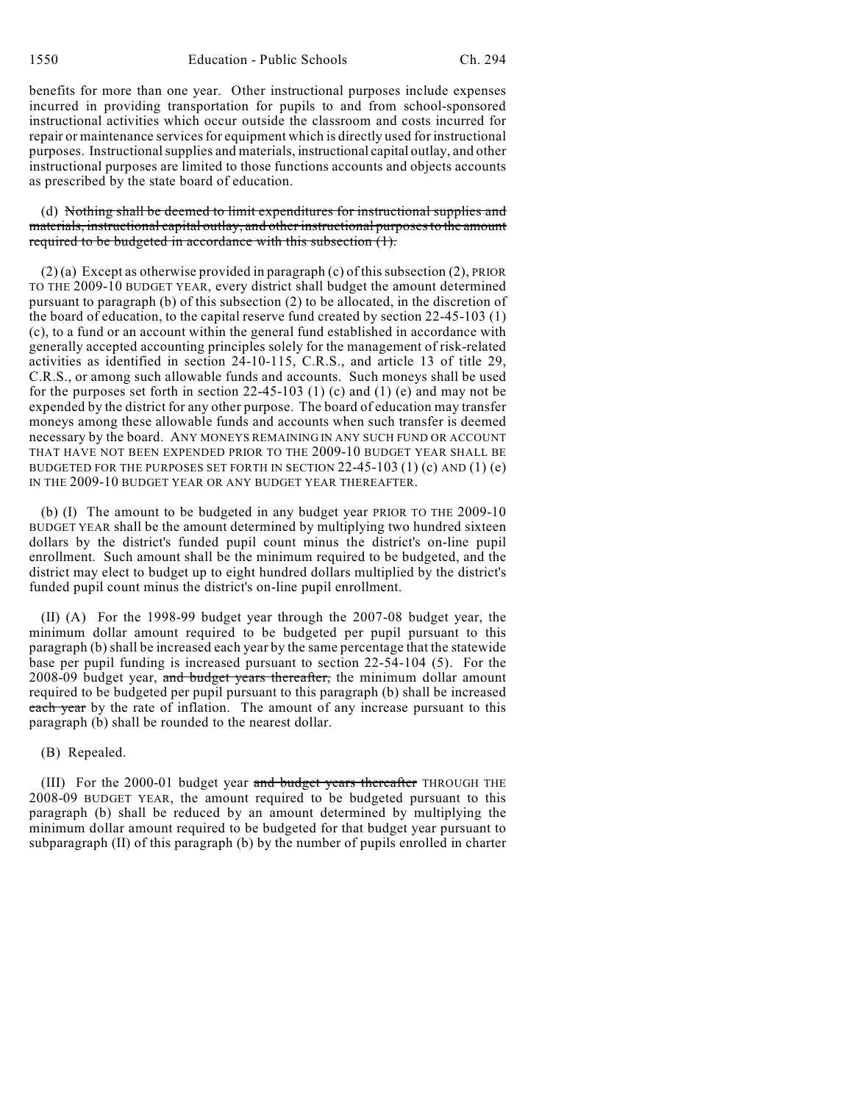benefits for more than one year. Other instructional purposes include expenses incurred in providing transportation for pupils to and from school-sponsored instructional activities which occur outside the classroom and costs incurred for repair or maintenance services for equipment which is directly used for instructional purposes. Instructional supplies and materials, instructional capital outlay, and other instructional purposes are limited to those functions accounts and objects accounts as prescribed by the state board of education.

(d) Nothing shall be deemed to limit expenditures for instructional supplies and materials, instructional capital outlay, and other instructional purposes to the amount required to be budgeted in accordance with this subsection (1).

(2) (a) Except as otherwise provided in paragraph (c) of this subsection (2), PRIOR TO THE 2009-10 BUDGET YEAR, every district shall budget the amount determined pursuant to paragraph (b) of this subsection (2) to be allocated, in the discretion of the board of education, to the capital reserve fund created by section 22-45-103 (1) (c), to a fund or an account within the general fund established in accordance with generally accepted accounting principles solely for the management of risk-related activities as identified in section 24-10-115, C.R.S., and article 13 of title 29, C.R.S., or among such allowable funds and accounts. Such moneys shall be used for the purposes set forth in section 22-45-103 (1) (c) and (1) (e) and may not be expended by the district for any other purpose. The board of education may transfer moneys among these allowable funds and accounts when such transfer is deemed necessary by the board. ANY MONEYS REMAINING IN ANY SUCH FUND OR ACCOUNT THAT HAVE NOT BEEN EXPENDED PRIOR TO THE 2009-10 BUDGET YEAR SHALL BE BUDGETED FOR THE PURPOSES SET FORTH IN SECTION 22-45-103 (1) (c) AND (1) (e) IN THE 2009-10 BUDGET YEAR OR ANY BUDGET YEAR THEREAFTER.

(b) (I) The amount to be budgeted in any budget year PRIOR TO THE 2009-10 BUDGET YEAR shall be the amount determined by multiplying two hundred sixteen dollars by the district's funded pupil count minus the district's on-line pupil enrollment. Such amount shall be the minimum required to be budgeted, and the district may elect to budget up to eight hundred dollars multiplied by the district's funded pupil count minus the district's on-line pupil enrollment.

(II) (A) For the 1998-99 budget year through the 2007-08 budget year, the minimum dollar amount required to be budgeted per pupil pursuant to this paragraph (b) shall be increased each year by the same percentage that the statewide base per pupil funding is increased pursuant to section 22-54-104 (5). For the 2008-09 budget year, and budget years thereafter, the minimum dollar amount required to be budgeted per pupil pursuant to this paragraph (b) shall be increased each year by the rate of inflation. The amount of any increase pursuant to this paragraph (b) shall be rounded to the nearest dollar.

## (B) Repealed.

(III) For the 2000-01 budget year and budget years thereafter THROUGH THE 2008-09 BUDGET YEAR, the amount required to be budgeted pursuant to this paragraph (b) shall be reduced by an amount determined by multiplying the minimum dollar amount required to be budgeted for that budget year pursuant to subparagraph (II) of this paragraph (b) by the number of pupils enrolled in charter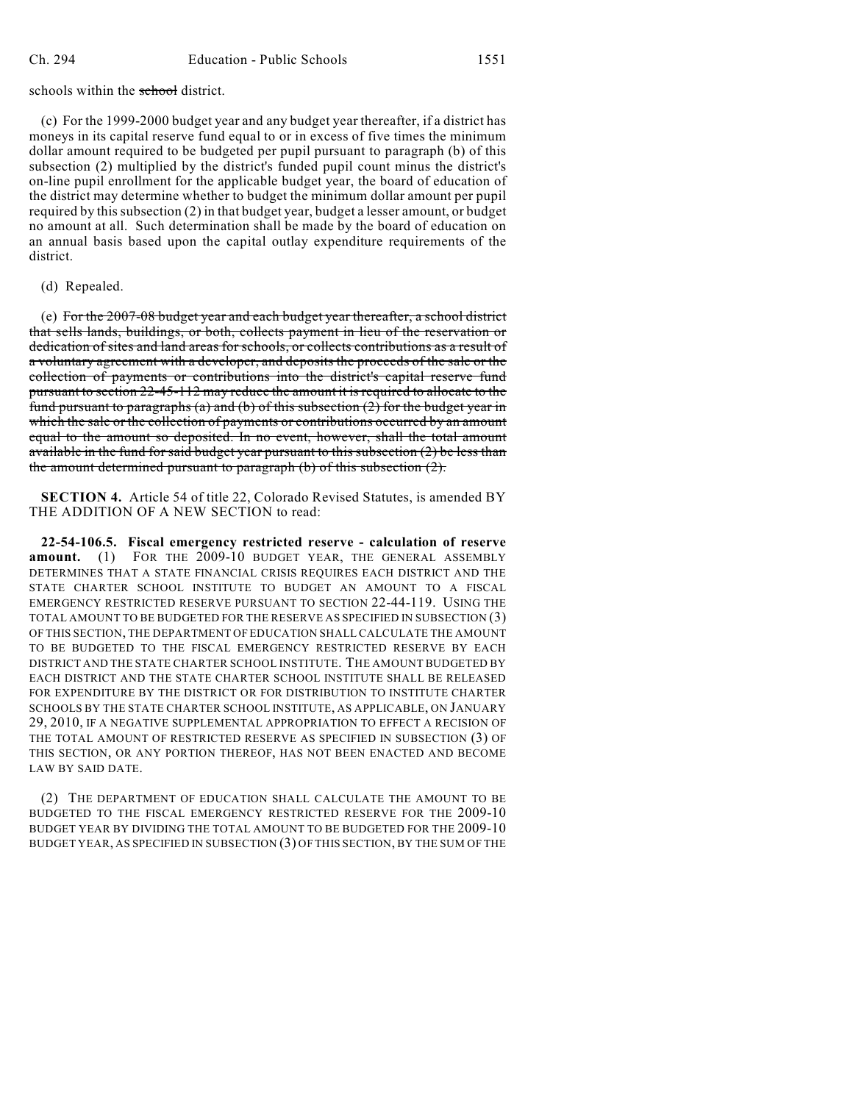schools within the school district.

(c) For the 1999-2000 budget year and any budget year thereafter, if a district has moneys in its capital reserve fund equal to or in excess of five times the minimum dollar amount required to be budgeted per pupil pursuant to paragraph (b) of this subsection (2) multiplied by the district's funded pupil count minus the district's on-line pupil enrollment for the applicable budget year, the board of education of the district may determine whether to budget the minimum dollar amount per pupil required by this subsection (2) in that budget year, budget a lesser amount, or budget no amount at all. Such determination shall be made by the board of education on an annual basis based upon the capital outlay expenditure requirements of the district.

(d) Repealed.

(e) For the 2007-08 budget year and each budget year thereafter, a school district that sells lands, buildings, or both, collects payment in lieu of the reservation or dedication of sites and land areas for schools, or collects contributions as a result of a voluntary agreement with a developer, and deposits the proceeds of the sale or the collection of payments or contributions into the district's capital reserve fund pursuant to section 22-45-112 may reduce the amount it is required to allocate to the fund pursuant to paragraphs (a) and (b) of this subsection  $(2)$  for the budget year in which the sale or the collection of payments or contributions occurred by an amount equal to the amount so deposited. In no event, however, shall the total amount available in the fund for said budget year pursuant to this subsection (2) be less than the amount determined pursuant to paragraph (b) of this subsection (2).

**SECTION 4.** Article 54 of title 22, Colorado Revised Statutes, is amended BY THE ADDITION OF A NEW SECTION to read:

**22-54-106.5. Fiscal emergency restricted reserve - calculation of reserve amount.** (1) FOR THE 2009-10 BUDGET YEAR, THE GENERAL ASSEMBLY DETERMINES THAT A STATE FINANCIAL CRISIS REQUIRES EACH DISTRICT AND THE STATE CHARTER SCHOOL INSTITUTE TO BUDGET AN AMOUNT TO A FISCAL EMERGENCY RESTRICTED RESERVE PURSUANT TO SECTION 22-44-119. USING THE TOTAL AMOUNT TO BE BUDGETED FOR THE RESERVE AS SPECIFIED IN SUBSECTION (3) OF THIS SECTION, THE DEPARTMENT OFEDUCATION SHALL CALCULATE THE AMOUNT TO BE BUDGETED TO THE FISCAL EMERGENCY RESTRICTED RESERVE BY EACH DISTRICT AND THE STATE CHARTER SCHOOL INSTITUTE. THE AMOUNT BUDGETED BY EACH DISTRICT AND THE STATE CHARTER SCHOOL INSTITUTE SHALL BE RELEASED FOR EXPENDITURE BY THE DISTRICT OR FOR DISTRIBUTION TO INSTITUTE CHARTER SCHOOLS BY THE STATE CHARTER SCHOOL INSTITUTE, AS APPLICABLE, ON JANUARY 29, 2010, IF A NEGATIVE SUPPLEMENTAL APPROPRIATION TO EFFECT A RECISION OF THE TOTAL AMOUNT OF RESTRICTED RESERVE AS SPECIFIED IN SUBSECTION (3) OF THIS SECTION, OR ANY PORTION THEREOF, HAS NOT BEEN ENACTED AND BECOME LAW BY SAID DATE.

(2) THE DEPARTMENT OF EDUCATION SHALL CALCULATE THE AMOUNT TO BE BUDGETED TO THE FISCAL EMERGENCY RESTRICTED RESERVE FOR THE 2009-10 BUDGET YEAR BY DIVIDING THE TOTAL AMOUNT TO BE BUDGETED FOR THE 2009-10 BUDGET YEAR, AS SPECIFIED IN SUBSECTION (3) OF THIS SECTION, BY THE SUM OF THE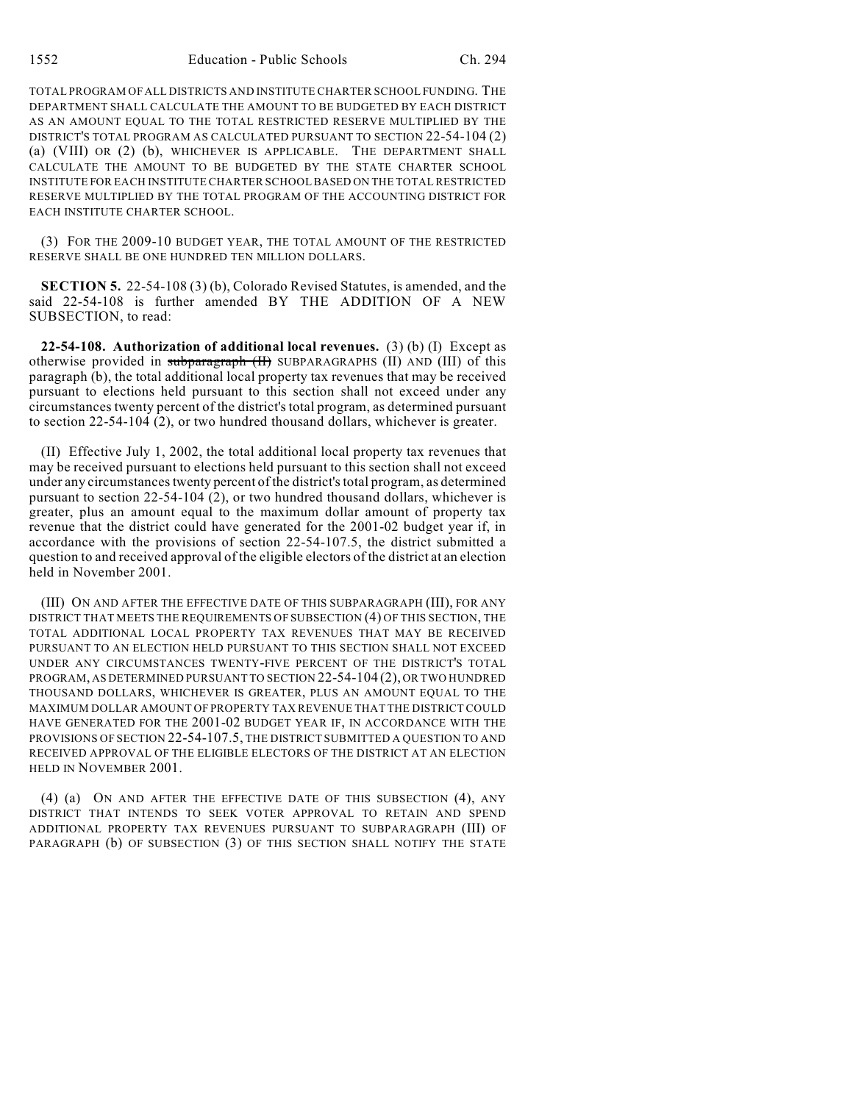TOTAL PROGRAM OF ALL DISTRICTS AND INSTITUTE CHARTER SCHOOL FUNDING. THE DEPARTMENT SHALL CALCULATE THE AMOUNT TO BE BUDGETED BY EACH DISTRICT AS AN AMOUNT EQUAL TO THE TOTAL RESTRICTED RESERVE MULTIPLIED BY THE DISTRICT'S TOTAL PROGRAM AS CALCULATED PURSUANT TO SECTION 22-54-104 (2) (a) (VIII) OR (2) (b), WHICHEVER IS APPLICABLE. THE DEPARTMENT SHALL CALCULATE THE AMOUNT TO BE BUDGETED BY THE STATE CHARTER SCHOOL INSTITUTE FOR EACH INSTITUTE CHARTER SCHOOL BASED ON THE TOTAL RESTRICTED RESERVE MULTIPLIED BY THE TOTAL PROGRAM OF THE ACCOUNTING DISTRICT FOR EACH INSTITUTE CHARTER SCHOOL.

(3) FOR THE 2009-10 BUDGET YEAR, THE TOTAL AMOUNT OF THE RESTRICTED RESERVE SHALL BE ONE HUNDRED TEN MILLION DOLLARS.

**SECTION 5.** 22-54-108 (3) (b), Colorado Revised Statutes, is amended, and the said 22-54-108 is further amended BY THE ADDITION OF A NEW SUBSECTION, to read:

**22-54-108. Authorization of additional local revenues.** (3) (b) (I) Except as otherwise provided in subparagraph (II) SUBPARAGRAPHS (II) AND (III) of this paragraph (b), the total additional local property tax revenues that may be received pursuant to elections held pursuant to this section shall not exceed under any circumstances twenty percent of the district's total program, as determined pursuant to section 22-54-104 (2), or two hundred thousand dollars, whichever is greater.

(II) Effective July 1, 2002, the total additional local property tax revenues that may be received pursuant to elections held pursuant to this section shall not exceed under any circumstances twenty percent of the district's total program, as determined pursuant to section  $22-54-104(2)$ , or two hundred thousand dollars, whichever is greater, plus an amount equal to the maximum dollar amount of property tax revenue that the district could have generated for the 2001-02 budget year if, in accordance with the provisions of section 22-54-107.5, the district submitted a question to and received approval of the eligible electors of the district at an election held in November 2001.

(III) ON AND AFTER THE EFFECTIVE DATE OF THIS SUBPARAGRAPH (III), FOR ANY DISTRICT THAT MEETS THE REQUIREMENTS OF SUBSECTION (4) OF THIS SECTION, THE TOTAL ADDITIONAL LOCAL PROPERTY TAX REVENUES THAT MAY BE RECEIVED PURSUANT TO AN ELECTION HELD PURSUANT TO THIS SECTION SHALL NOT EXCEED UNDER ANY CIRCUMSTANCES TWENTY-FIVE PERCENT OF THE DISTRICT'S TOTAL PROGRAM, AS DETERMINED PURSUANT TO SECTION 22-54-104 (2), OR TWO HUNDRED THOUSAND DOLLARS, WHICHEVER IS GREATER, PLUS AN AMOUNT EQUAL TO THE MAXIMUM DOLLAR AMOUNT OF PROPERTY TAX REVENUE THAT THE DISTRICT COULD HAVE GENERATED FOR THE 2001-02 BUDGET YEAR IF, IN ACCORDANCE WITH THE PROVISIONS OF SECTION 22-54-107.5, THE DISTRICT SUBMITTED A QUESTION TO AND RECEIVED APPROVAL OF THE ELIGIBLE ELECTORS OF THE DISTRICT AT AN ELECTION HELD IN NOVEMBER 2001.

(4) (a) ON AND AFTER THE EFFECTIVE DATE OF THIS SUBSECTION (4), ANY DISTRICT THAT INTENDS TO SEEK VOTER APPROVAL TO RETAIN AND SPEND ADDITIONAL PROPERTY TAX REVENUES PURSUANT TO SUBPARAGRAPH (III) OF PARAGRAPH (b) OF SUBSECTION (3) OF THIS SECTION SHALL NOTIFY THE STATE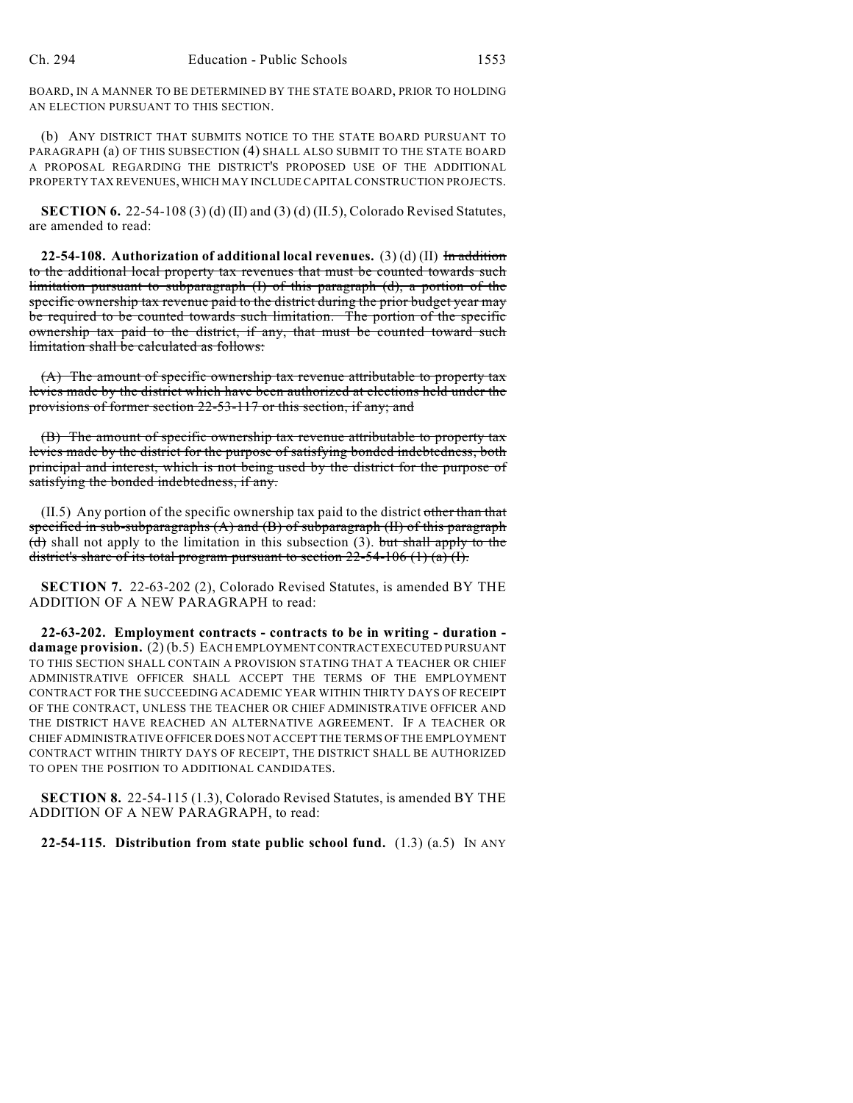BOARD, IN A MANNER TO BE DETERMINED BY THE STATE BOARD, PRIOR TO HOLDING AN ELECTION PURSUANT TO THIS SECTION.

(b) ANY DISTRICT THAT SUBMITS NOTICE TO THE STATE BOARD PURSUANT TO PARAGRAPH (a) OF THIS SUBSECTION (4) SHALL ALSO SUBMIT TO THE STATE BOARD A PROPOSAL REGARDING THE DISTRICT'S PROPOSED USE OF THE ADDITIONAL PROPERTY TAX REVENUES, WHICH MAY INCLUDE CAPITAL CONSTRUCTION PROJECTS.

**SECTION 6.** 22-54-108 (3) (d) (II) and (3) (d) (II.5), Colorado Revised Statutes, are amended to read:

**22-54-108. Authorization of additional local revenues.** (3) (d) (II) In addition to the additional local property tax revenues that must be counted towards such limitation pursuant to subparagraph (I) of this paragraph (d), a portion of the specific ownership tax revenue paid to the district during the prior budget year may be required to be counted towards such limitation. The portion of the specific ownership tax paid to the district, if any, that must be counted toward such limitation shall be calculated as follows:

(A) The amount of specific ownership tax revenue attributable to property tax levies made by the district which have been authorized at elections held under the provisions of former section 22-53-117 or this section, if any; and

(B) The amount of specific ownership tax revenue attributable to property tax levies made by the district for the purpose of satisfying bonded indebtedness, both principal and interest, which is not being used by the district for the purpose of satisfying the bonded indebtedness, if any.

 $(II.5)$  Any portion of the specific ownership tax paid to the district other than that specified in sub-subparagraphs (A) and (B) of subparagraph (II) of this paragraph  $(d)$  shall not apply to the limitation in this subsection (3). but shall apply to the district's share of its total program pursuant to section  $22-54-106$  (1) (a) (I).

**SECTION 7.** 22-63-202 (2), Colorado Revised Statutes, is amended BY THE ADDITION OF A NEW PARAGRAPH to read:

**22-63-202. Employment contracts - contracts to be in writing - duration damage provision.** (2) (b.5) EACH EMPLOYMENT CONTRACT EXECUTED PURSUANT TO THIS SECTION SHALL CONTAIN A PROVISION STATING THAT A TEACHER OR CHIEF ADMINISTRATIVE OFFICER SHALL ACCEPT THE TERMS OF THE EMPLOYMENT CONTRACT FOR THE SUCCEEDING ACADEMIC YEAR WITHIN THIRTY DAYS OF RECEIPT OF THE CONTRACT, UNLESS THE TEACHER OR CHIEF ADMINISTRATIVE OFFICER AND THE DISTRICT HAVE REACHED AN ALTERNATIVE AGREEMENT. IF A TEACHER OR CHIEF ADMINISTRATIVE OFFICER DOES NOT ACCEPT THE TERMS OF THE EMPLOYMENT CONTRACT WITHIN THIRTY DAYS OF RECEIPT, THE DISTRICT SHALL BE AUTHORIZED TO OPEN THE POSITION TO ADDITIONAL CANDIDATES.

**SECTION 8.** 22-54-115 (1.3), Colorado Revised Statutes, is amended BY THE ADDITION OF A NEW PARAGRAPH, to read:

**22-54-115. Distribution from state public school fund.** (1.3) (a.5) IN ANY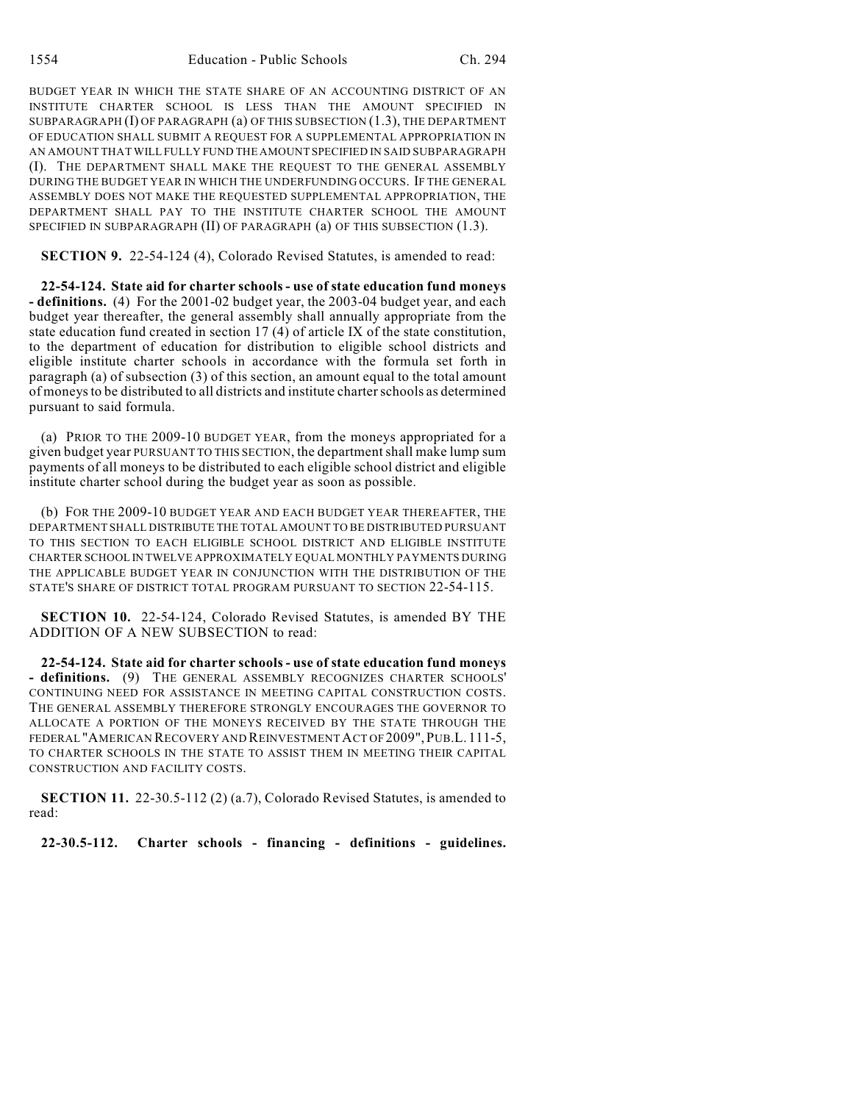BUDGET YEAR IN WHICH THE STATE SHARE OF AN ACCOUNTING DISTRICT OF AN INSTITUTE CHARTER SCHOOL IS LESS THAN THE AMOUNT SPECIFIED IN SUBPARAGRAPH (I) OF PARAGRAPH (a) OF THIS SUBSECTION (1.3), THE DEPARTMENT OF EDUCATION SHALL SUBMIT A REQUEST FOR A SUPPLEMENTAL APPROPRIATION IN AN AMOUNT THAT WILL FULLY FUND THE AMOUNT SPECIFIED IN SAID SUBPARAGRAPH (I). THE DEPARTMENT SHALL MAKE THE REQUEST TO THE GENERAL ASSEMBLY DURING THE BUDGET YEAR IN WHICH THE UNDERFUNDING OCCURS. IF THE GENERAL ASSEMBLY DOES NOT MAKE THE REQUESTED SUPPLEMENTAL APPROPRIATION, THE DEPARTMENT SHALL PAY TO THE INSTITUTE CHARTER SCHOOL THE AMOUNT SPECIFIED IN SUBPARAGRAPH (II) OF PARAGRAPH (a) OF THIS SUBSECTION (1.3).

**SECTION 9.** 22-54-124 (4), Colorado Revised Statutes, is amended to read:

**22-54-124. State aid for charter schools - use of state education fund moneys - definitions.** (4) For the 2001-02 budget year, the 2003-04 budget year, and each budget year thereafter, the general assembly shall annually appropriate from the state education fund created in section 17 (4) of article IX of the state constitution, to the department of education for distribution to eligible school districts and eligible institute charter schools in accordance with the formula set forth in paragraph (a) of subsection (3) of this section, an amount equal to the total amount of moneys to be distributed to all districts and institute charter schools as determined pursuant to said formula.

(a) PRIOR TO THE 2009-10 BUDGET YEAR, from the moneys appropriated for a given budget year PURSUANT TO THIS SECTION, the department shall make lump sum payments of all moneys to be distributed to each eligible school district and eligible institute charter school during the budget year as soon as possible.

(b) FOR THE 2009-10 BUDGET YEAR AND EACH BUDGET YEAR THEREAFTER, THE DEPARTMENT SHALL DISTRIBUTE THE TOTAL AMOUNT TO BE DISTRIBUTED PURSUANT TO THIS SECTION TO EACH ELIGIBLE SCHOOL DISTRICT AND ELIGIBLE INSTITUTE CHARTER SCHOOL IN TWELVE APPROXIMATELY EQUAL MONTHLY PAYMENTS DURING THE APPLICABLE BUDGET YEAR IN CONJUNCTION WITH THE DISTRIBUTION OF THE STATE'S SHARE OF DISTRICT TOTAL PROGRAM PURSUANT TO SECTION 22-54-115.

**SECTION 10.** 22-54-124, Colorado Revised Statutes, is amended BY THE ADDITION OF A NEW SUBSECTION to read:

**22-54-124. State aid for charter schools - use of state education fund moneys - definitions.** (9) THE GENERAL ASSEMBLY RECOGNIZES CHARTER SCHOOLS' CONTINUING NEED FOR ASSISTANCE IN MEETING CAPITAL CONSTRUCTION COSTS. THE GENERAL ASSEMBLY THEREFORE STRONGLY ENCOURAGES THE GOVERNOR TO ALLOCATE A PORTION OF THE MONEYS RECEIVED BY THE STATE THROUGH THE FEDERAL "AMERICAN RECOVERY AND REINVESTMENT ACT OF 2009",PUB.L. 111-5, TO CHARTER SCHOOLS IN THE STATE TO ASSIST THEM IN MEETING THEIR CAPITAL CONSTRUCTION AND FACILITY COSTS.

**SECTION 11.** 22-30.5-112 (2) (a.7), Colorado Revised Statutes, is amended to read:

**22-30.5-112. Charter schools - financing - definitions - guidelines.**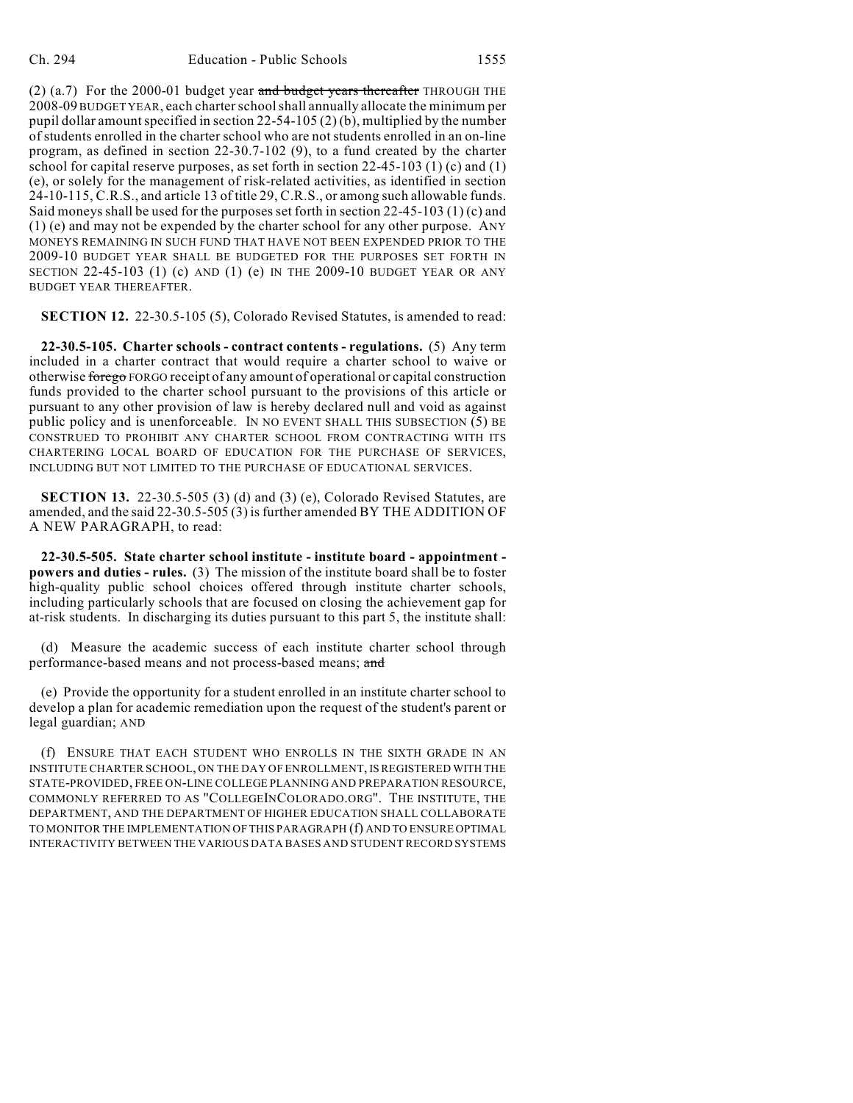(2) (a.7) For the 2000-01 budget year and budget years thereafter THROUGH THE 2008-09 BUDGET YEAR, each charter school shall annually allocate the minimum per pupil dollar amount specified in section 22-54-105 (2) (b), multiplied by the number of students enrolled in the charter school who are notstudents enrolled in an on-line program, as defined in section 22-30.7-102 (9), to a fund created by the charter school for capital reserve purposes, as set forth in section  $22-45-103$  (1) (c) and (1) (e), or solely for the management of risk-related activities, as identified in section 24-10-115, C.R.S., and article 13 of title 29, C.R.S., or among such allowable funds. Said moneys shall be used for the purposes set forth in section  $22-45-103$  (1) (c) and (1) (e) and may not be expended by the charter school for any other purpose. ANY MONEYS REMAINING IN SUCH FUND THAT HAVE NOT BEEN EXPENDED PRIOR TO THE 2009-10 BUDGET YEAR SHALL BE BUDGETED FOR THE PURPOSES SET FORTH IN SECTION 22-45-103 (1) (c) AND (1) (e) IN THE 2009-10 BUDGET YEAR OR ANY BUDGET YEAR THEREAFTER.

**SECTION 12.** 22-30.5-105 (5), Colorado Revised Statutes, is amended to read:

**22-30.5-105. Charter schools - contract contents - regulations.** (5) Any term included in a charter contract that would require a charter school to waive or otherwise forego FORGO receipt of any amount of operational or capital construction funds provided to the charter school pursuant to the provisions of this article or pursuant to any other provision of law is hereby declared null and void as against public policy and is unenforceable. IN NO EVENT SHALL THIS SUBSECTION (5) BE CONSTRUED TO PROHIBIT ANY CHARTER SCHOOL FROM CONTRACTING WITH ITS CHARTERING LOCAL BOARD OF EDUCATION FOR THE PURCHASE OF SERVICES, INCLUDING BUT NOT LIMITED TO THE PURCHASE OF EDUCATIONAL SERVICES.

**SECTION 13.** 22-30.5-505 (3) (d) and (3) (e), Colorado Revised Statutes, are amended, and the said 22-30.5-505 (3) is further amended BY THE ADDITION OF A NEW PARAGRAPH, to read:

**22-30.5-505. State charter school institute - institute board - appointment powers and duties - rules.** (3) The mission of the institute board shall be to foster high-quality public school choices offered through institute charter schools, including particularly schools that are focused on closing the achievement gap for at-risk students. In discharging its duties pursuant to this part 5, the institute shall:

(d) Measure the academic success of each institute charter school through performance-based means and not process-based means; and

(e) Provide the opportunity for a student enrolled in an institute charter school to develop a plan for academic remediation upon the request of the student's parent or legal guardian; AND

(f) ENSURE THAT EACH STUDENT WHO ENROLLS IN THE SIXTH GRADE IN AN INSTITUTE CHARTER SCHOOL, ON THE DAY OF ENROLLMENT, IS REGISTERED WITH THE STATE-PROVIDED, FREE ON-LINE COLLEGE PLANNING AND PREPARATION RESOURCE, COMMONLY REFERRED TO AS "COLLEGEINCOLORADO.ORG". THE INSTITUTE, THE DEPARTMENT, AND THE DEPARTMENT OF HIGHER EDUCATION SHALL COLLABORATE TO MONITOR THE IMPLEMENTATION OF THIS PARAGRAPH (f) AND TO ENSURE OPTIMAL INTERACTIVITY BETWEEN THE VARIOUS DATA BASES AND STUDENT RECORD SYSTEMS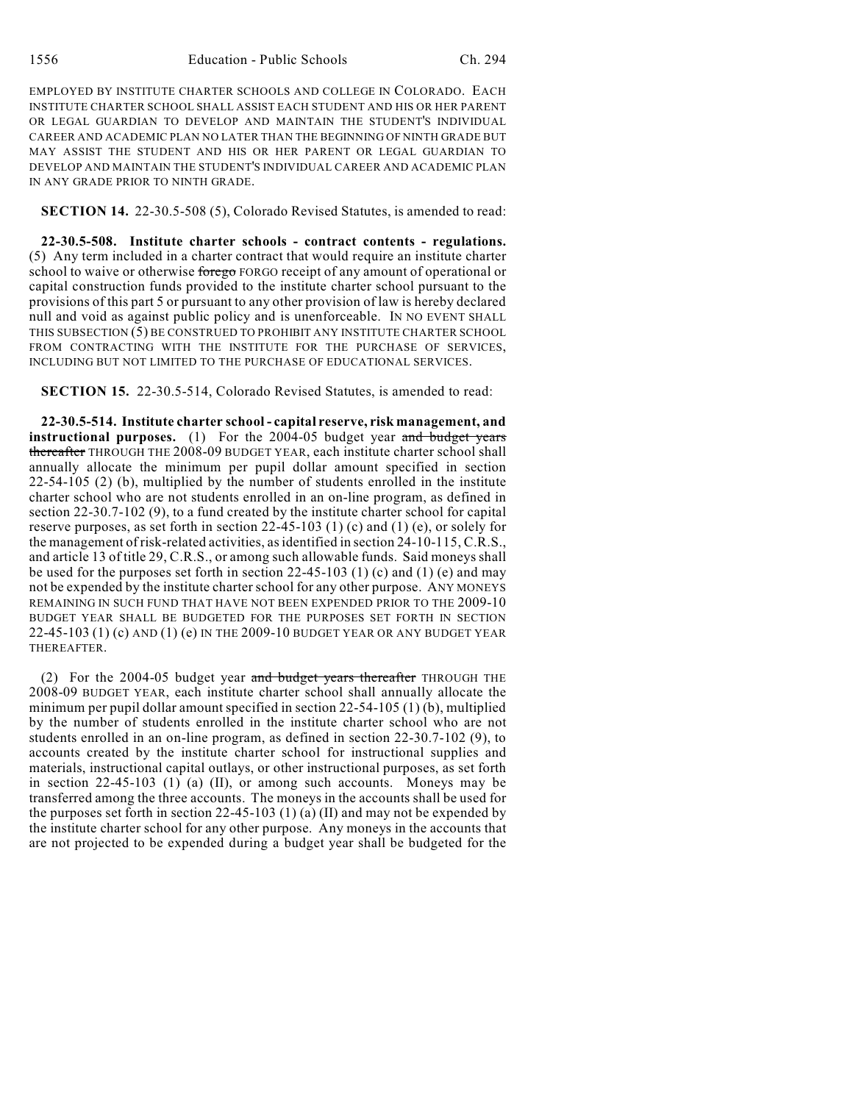EMPLOYED BY INSTITUTE CHARTER SCHOOLS AND COLLEGE IN COLORADO. EACH INSTITUTE CHARTER SCHOOL SHALL ASSIST EACH STUDENT AND HIS OR HER PARENT OR LEGAL GUARDIAN TO DEVELOP AND MAINTAIN THE STUDENT'S INDIVIDUAL CAREER AND ACADEMIC PLAN NO LATER THAN THE BEGINNING OF NINTH GRADE BUT MAY ASSIST THE STUDENT AND HIS OR HER PARENT OR LEGAL GUARDIAN TO DEVELOP AND MAINTAIN THE STUDENT'S INDIVIDUAL CAREER AND ACADEMIC PLAN IN ANY GRADE PRIOR TO NINTH GRADE.

**SECTION 14.** 22-30.5-508 (5), Colorado Revised Statutes, is amended to read:

**22-30.5-508. Institute charter schools - contract contents - regulations.** (5) Any term included in a charter contract that would require an institute charter school to waive or otherwise forego FORGO receipt of any amount of operational or capital construction funds provided to the institute charter school pursuant to the provisions of this part 5 or pursuant to any other provision of law is hereby declared null and void as against public policy and is unenforceable. IN NO EVENT SHALL THIS SUBSECTION (5) BE CONSTRUED TO PROHIBIT ANY INSTITUTE CHARTER SCHOOL FROM CONTRACTING WITH THE INSTITUTE FOR THE PURCHASE OF SERVICES, INCLUDING BUT NOT LIMITED TO THE PURCHASE OF EDUCATIONAL SERVICES.

**SECTION 15.** 22-30.5-514, Colorado Revised Statutes, is amended to read:

**22-30.5-514. Institute charter school - capital reserve, risk management, and instructional purposes.** (1) For the 2004-05 budget year and budget years thereafter THROUGH THE 2008-09 BUDGET YEAR, each institute charter school shall annually allocate the minimum per pupil dollar amount specified in section 22-54-105 (2) (b), multiplied by the number of students enrolled in the institute charter school who are not students enrolled in an on-line program, as defined in section 22-30.7-102 (9), to a fund created by the institute charter school for capital reserve purposes, as set forth in section 22-45-103 (1) (c) and (1) (e), or solely for the management of risk-related activities, as identified in section 24-10-115, C.R.S., and article 13 of title 29, C.R.S., or among such allowable funds. Said moneys shall be used for the purposes set forth in section 22-45-103 (1) (c) and (1) (e) and may not be expended by the institute charter school for any other purpose. ANY MONEYS REMAINING IN SUCH FUND THAT HAVE NOT BEEN EXPENDED PRIOR TO THE 2009-10 BUDGET YEAR SHALL BE BUDGETED FOR THE PURPOSES SET FORTH IN SECTION 22-45-103 (1) (c) AND (1) (e) IN THE 2009-10 BUDGET YEAR OR ANY BUDGET YEAR THEREAFTER.

(2) For the 2004-05 budget year and budget years thereafter THROUGH THE 2008-09 BUDGET YEAR, each institute charter school shall annually allocate the minimum per pupil dollar amount specified in section 22-54-105 (1) (b), multiplied by the number of students enrolled in the institute charter school who are not students enrolled in an on-line program, as defined in section 22-30.7-102 (9), to accounts created by the institute charter school for instructional supplies and materials, instructional capital outlays, or other instructional purposes, as set forth in section  $22-45-103$  (1) (a) (II), or among such accounts. Moneys may be transferred among the three accounts. The moneys in the accounts shall be used for the purposes set forth in section 22-45-103 (1) (a) (II) and may not be expended by the institute charter school for any other purpose. Any moneys in the accounts that are not projected to be expended during a budget year shall be budgeted for the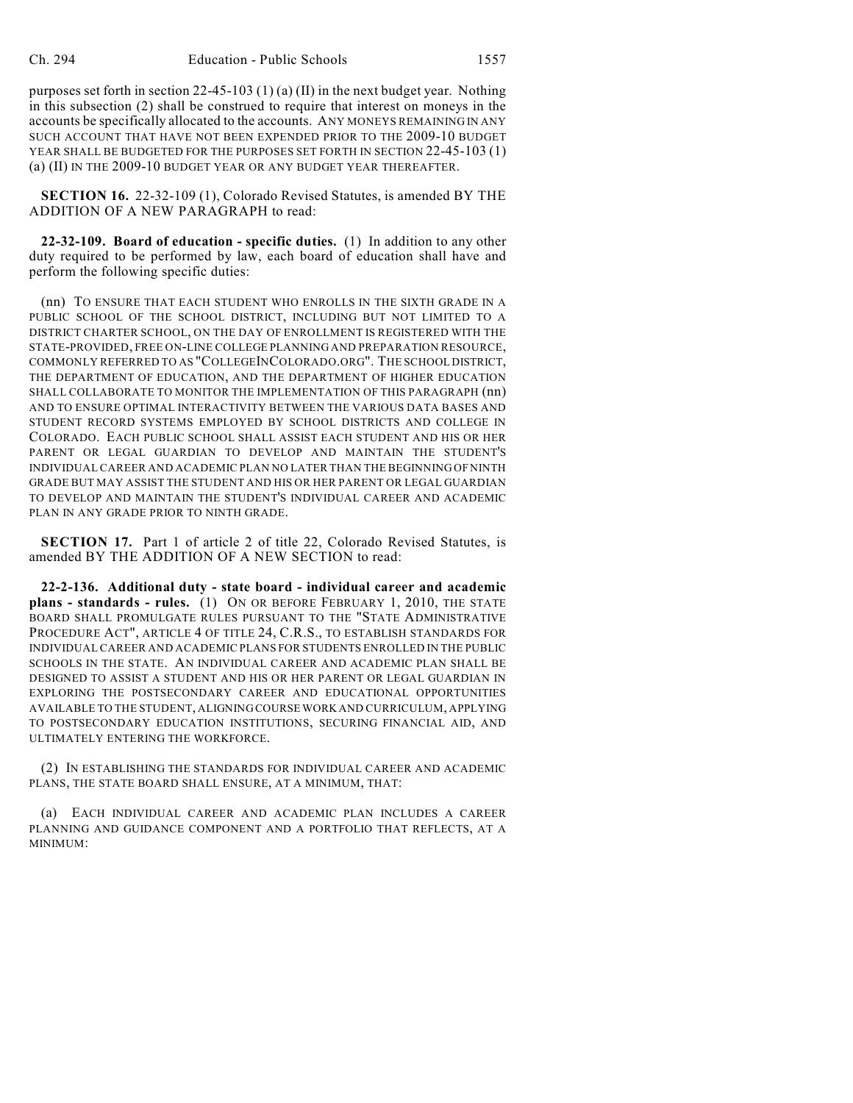purposes set forth in section 22-45-103 (1) (a) (II) in the next budget year. Nothing in this subsection (2) shall be construed to require that interest on moneys in the accounts be specifically allocated to the accounts. ANY MONEYS REMAINING IN ANY SUCH ACCOUNT THAT HAVE NOT BEEN EXPENDED PRIOR TO THE 2009-10 BUDGET YEAR SHALL BE BUDGETED FOR THE PURPOSES SET FORTH IN SECTION 22-45-103 (1) (a) (II) IN THE 2009-10 BUDGET YEAR OR ANY BUDGET YEAR THEREAFTER.

**SECTION 16.** 22-32-109 (1), Colorado Revised Statutes, is amended BY THE ADDITION OF A NEW PARAGRAPH to read:

**22-32-109. Board of education - specific duties.** (1) In addition to any other duty required to be performed by law, each board of education shall have and perform the following specific duties:

(nn) TO ENSURE THAT EACH STUDENT WHO ENROLLS IN THE SIXTH GRADE IN A PUBLIC SCHOOL OF THE SCHOOL DISTRICT, INCLUDING BUT NOT LIMITED TO A DISTRICT CHARTER SCHOOL, ON THE DAY OF ENROLLMENT IS REGISTERED WITH THE STATE-PROVIDED, FREE ON-LINE COLLEGE PLANNING AND PREPARATION RESOURCE, COMMONLY REFERRED TO AS "COLLEGEINCOLORADO.ORG". THE SCHOOL DISTRICT, THE DEPARTMENT OF EDUCATION, AND THE DEPARTMENT OF HIGHER EDUCATION SHALL COLLABORATE TO MONITOR THE IMPLEMENTATION OF THIS PARAGRAPH (nn) AND TO ENSURE OPTIMAL INTERACTIVITY BETWEEN THE VARIOUS DATA BASES AND STUDENT RECORD SYSTEMS EMPLOYED BY SCHOOL DISTRICTS AND COLLEGE IN COLORADO. EACH PUBLIC SCHOOL SHALL ASSIST EACH STUDENT AND HIS OR HER PARENT OR LEGAL GUARDIAN TO DEVELOP AND MAINTAIN THE STUDENT'S INDIVIDUAL CAREER AND ACADEMIC PLAN NO LATER THAN THE BEGINNING OF NINTH GRADE BUT MAY ASSIST THE STUDENT AND HIS OR HER PARENT OR LEGAL GUARDIAN TO DEVELOP AND MAINTAIN THE STUDENT'S INDIVIDUAL CAREER AND ACADEMIC PLAN IN ANY GRADE PRIOR TO NINTH GRADE.

**SECTION 17.** Part 1 of article 2 of title 22, Colorado Revised Statutes, is amended BY THE ADDITION OF A NEW SECTION to read:

**22-2-136. Additional duty - state board - individual career and academic plans - standards - rules.** (1) ON OR BEFORE FEBRUARY 1, 2010, THE STATE BOARD SHALL PROMULGATE RULES PURSUANT TO THE "STATE ADMINISTRATIVE PROCEDURE ACT", ARTICLE 4 OF TITLE 24, C.R.S., TO ESTABLISH STANDARDS FOR INDIVIDUAL CAREER AND ACADEMIC PLANS FOR STUDENTS ENROLLED IN THE PUBLIC SCHOOLS IN THE STATE. AN INDIVIDUAL CAREER AND ACADEMIC PLAN SHALL BE DESIGNED TO ASSIST A STUDENT AND HIS OR HER PARENT OR LEGAL GUARDIAN IN EXPLORING THE POSTSECONDARY CAREER AND EDUCATIONAL OPPORTUNITIES AVAILABLE TO THE STUDENT, ALIGNING COURSE WORK AND CURRICULUM, APPLYING TO POSTSECONDARY EDUCATION INSTITUTIONS, SECURING FINANCIAL AID, AND ULTIMATELY ENTERING THE WORKFORCE.

(2) IN ESTABLISHING THE STANDARDS FOR INDIVIDUAL CAREER AND ACADEMIC PLANS, THE STATE BOARD SHALL ENSURE, AT A MINIMUM, THAT:

(a) EACH INDIVIDUAL CAREER AND ACADEMIC PLAN INCLUDES A CAREER PLANNING AND GUIDANCE COMPONENT AND A PORTFOLIO THAT REFLECTS, AT A MINIMUM: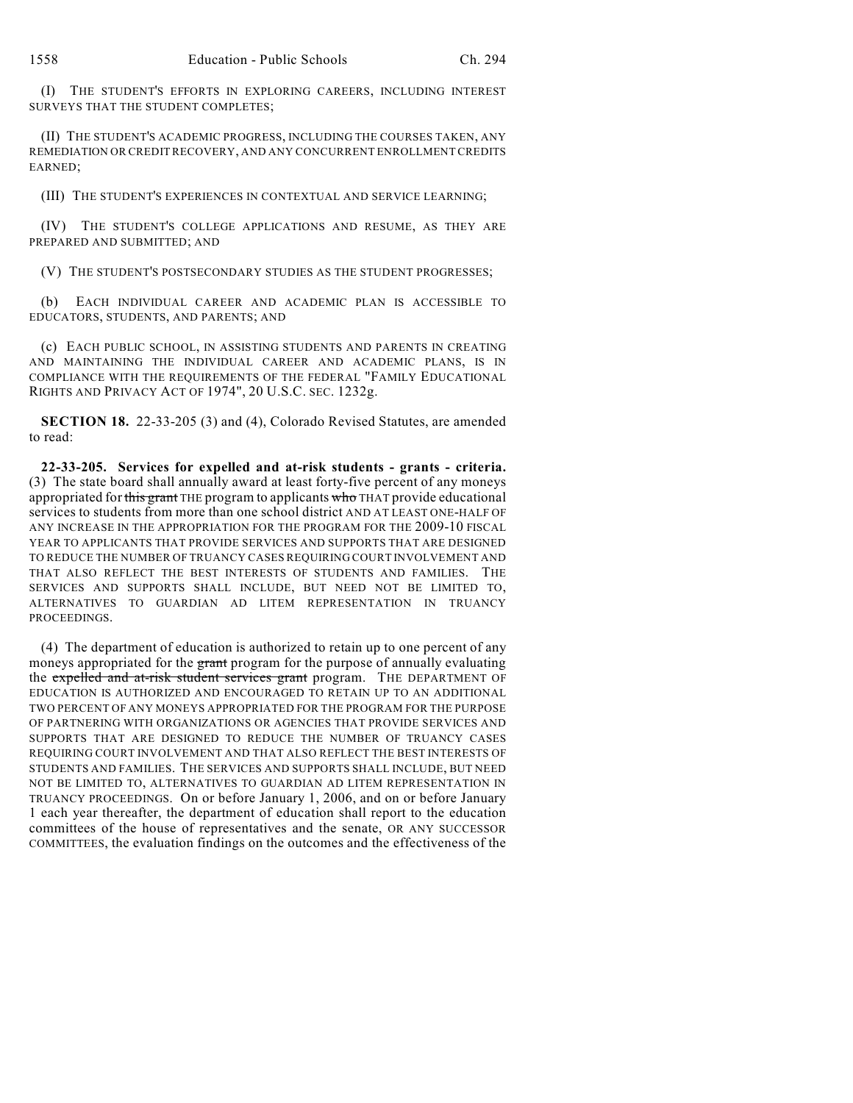(I) THE STUDENT'S EFFORTS IN EXPLORING CAREERS, INCLUDING INTEREST SURVEYS THAT THE STUDENT COMPLETES;

(II) THE STUDENT'S ACADEMIC PROGRESS, INCLUDING THE COURSES TAKEN, ANY REMEDIATION OR CREDIT RECOVERY, AND ANY CONCURRENT ENROLLMENT CREDITS EARNED;

(III) THE STUDENT'S EXPERIENCES IN CONTEXTUAL AND SERVICE LEARNING;

(IV) THE STUDENT'S COLLEGE APPLICATIONS AND RESUME, AS THEY ARE PREPARED AND SUBMITTED; AND

(V) THE STUDENT'S POSTSECONDARY STUDIES AS THE STUDENT PROGRESSES;

(b) EACH INDIVIDUAL CAREER AND ACADEMIC PLAN IS ACCESSIBLE TO EDUCATORS, STUDENTS, AND PARENTS; AND

(c) EACH PUBLIC SCHOOL, IN ASSISTING STUDENTS AND PARENTS IN CREATING AND MAINTAINING THE INDIVIDUAL CAREER AND ACADEMIC PLANS, IS IN COMPLIANCE WITH THE REQUIREMENTS OF THE FEDERAL "FAMILY EDUCATIONAL RIGHTS AND PRIVACY ACT OF 1974", 20 U.S.C. SEC. 1232g.

**SECTION 18.** 22-33-205 (3) and (4), Colorado Revised Statutes, are amended to read:

**22-33-205. Services for expelled and at-risk students - grants - criteria.** (3) The state board shall annually award at least forty-five percent of any moneys appropriated for this grant THE program to applicants who THAT provide educational services to students from more than one school district AND AT LEAST ONE-HALF OF ANY INCREASE IN THE APPROPRIATION FOR THE PROGRAM FOR THE 2009-10 FISCAL YEAR TO APPLICANTS THAT PROVIDE SERVICES AND SUPPORTS THAT ARE DESIGNED TO REDUCE THE NUMBER OF TRUANCY CASES REQUIRING COURT INVOLVEMENT AND THAT ALSO REFLECT THE BEST INTERESTS OF STUDENTS AND FAMILIES. THE SERVICES AND SUPPORTS SHALL INCLUDE, BUT NEED NOT BE LIMITED TO, ALTERNATIVES TO GUARDIAN AD LITEM REPRESENTATION IN TRUANCY PROCEEDINGS.

(4) The department of education is authorized to retain up to one percent of any moneys appropriated for the grant program for the purpose of annually evaluating the expelled and at-risk student services grant program. THE DEPARTMENT OF EDUCATION IS AUTHORIZED AND ENCOURAGED TO RETAIN UP TO AN ADDITIONAL TWO PERCENT OF ANY MONEYS APPROPRIATED FOR THE PROGRAM FOR THE PURPOSE OF PARTNERING WITH ORGANIZATIONS OR AGENCIES THAT PROVIDE SERVICES AND SUPPORTS THAT ARE DESIGNED TO REDUCE THE NUMBER OF TRUANCY CASES REQUIRING COURT INVOLVEMENT AND THAT ALSO REFLECT THE BEST INTERESTS OF STUDENTS AND FAMILIES. THE SERVICES AND SUPPORTS SHALL INCLUDE, BUT NEED NOT BE LIMITED TO, ALTERNATIVES TO GUARDIAN AD LITEM REPRESENTATION IN TRUANCY PROCEEDINGS. On or before January 1, 2006, and on or before January 1 each year thereafter, the department of education shall report to the education committees of the house of representatives and the senate, OR ANY SUCCESSOR COMMITTEES, the evaluation findings on the outcomes and the effectiveness of the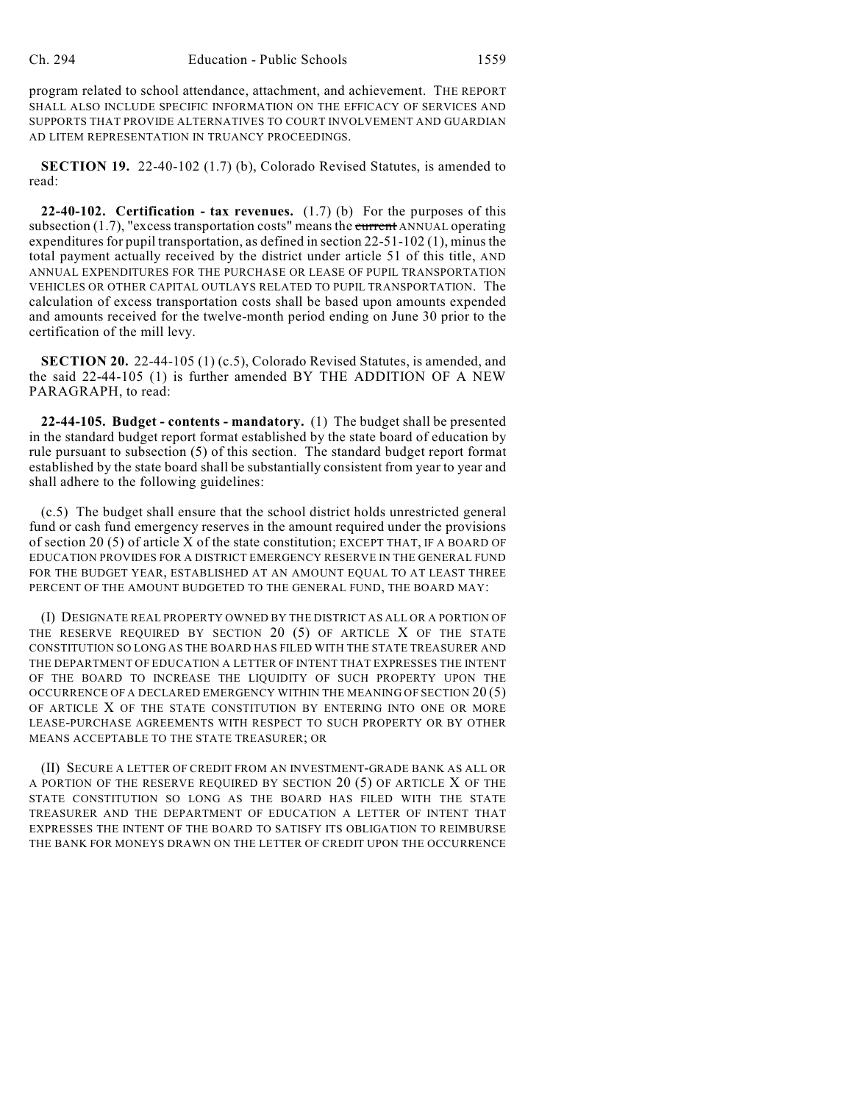program related to school attendance, attachment, and achievement. THE REPORT SHALL ALSO INCLUDE SPECIFIC INFORMATION ON THE EFFICACY OF SERVICES AND SUPPORTS THAT PROVIDE ALTERNATIVES TO COURT INVOLVEMENT AND GUARDIAN AD LITEM REPRESENTATION IN TRUANCY PROCEEDINGS.

**SECTION 19.** 22-40-102 (1.7) (b), Colorado Revised Statutes, is amended to read:

**22-40-102. Certification - tax revenues.** (1.7) (b) For the purposes of this subsection  $(1.7)$ , "excess transportation costs" means the current ANNUAL operating expenditures for pupil transportation, as defined in section 22-51-102 (1), minus the total payment actually received by the district under article 51 of this title, AND ANNUAL EXPENDITURES FOR THE PURCHASE OR LEASE OF PUPIL TRANSPORTATION VEHICLES OR OTHER CAPITAL OUTLAYS RELATED TO PUPIL TRANSPORTATION. The calculation of excess transportation costs shall be based upon amounts expended and amounts received for the twelve-month period ending on June 30 prior to the certification of the mill levy.

**SECTION 20.** 22-44-105 (1) (c.5), Colorado Revised Statutes, is amended, and the said 22-44-105 (1) is further amended BY THE ADDITION OF A NEW PARAGRAPH, to read:

**22-44-105. Budget - contents - mandatory.** (1) The budget shall be presented in the standard budget report format established by the state board of education by rule pursuant to subsection (5) of this section. The standard budget report format established by the state board shall be substantially consistent from year to year and shall adhere to the following guidelines:

(c.5) The budget shall ensure that the school district holds unrestricted general fund or cash fund emergency reserves in the amount required under the provisions of section 20 (5) of article X of the state constitution; EXCEPT THAT, IF A BOARD OF EDUCATION PROVIDES FOR A DISTRICT EMERGENCY RESERVE IN THE GENERAL FUND FOR THE BUDGET YEAR, ESTABLISHED AT AN AMOUNT EQUAL TO AT LEAST THREE PERCENT OF THE AMOUNT BUDGETED TO THE GENERAL FUND, THE BOARD MAY:

(I) DESIGNATE REAL PROPERTY OWNED BY THE DISTRICT AS ALL OR A PORTION OF THE RESERVE REQUIRED BY SECTION 20 (5) OF ARTICLE X OF THE STATE CONSTITUTION SO LONG AS THE BOARD HAS FILED WITH THE STATE TREASURER AND THE DEPARTMENT OF EDUCATION A LETTER OF INTENT THAT EXPRESSES THE INTENT OF THE BOARD TO INCREASE THE LIQUIDITY OF SUCH PROPERTY UPON THE OCCURRENCE OF A DECLARED EMERGENCY WITHIN THE MEANING OF SECTION 20 (5) OF ARTICLE X OF THE STATE CONSTITUTION BY ENTERING INTO ONE OR MORE LEASE-PURCHASE AGREEMENTS WITH RESPECT TO SUCH PROPERTY OR BY OTHER MEANS ACCEPTABLE TO THE STATE TREASURER; OR

(II) SECURE A LETTER OF CREDIT FROM AN INVESTMENT-GRADE BANK AS ALL OR A PORTION OF THE RESERVE REQUIRED BY SECTION 20 (5) OF ARTICLE X OF THE STATE CONSTITUTION SO LONG AS THE BOARD HAS FILED WITH THE STATE TREASURER AND THE DEPARTMENT OF EDUCATION A LETTER OF INTENT THAT EXPRESSES THE INTENT OF THE BOARD TO SATISFY ITS OBLIGATION TO REIMBURSE THE BANK FOR MONEYS DRAWN ON THE LETTER OF CREDIT UPON THE OCCURRENCE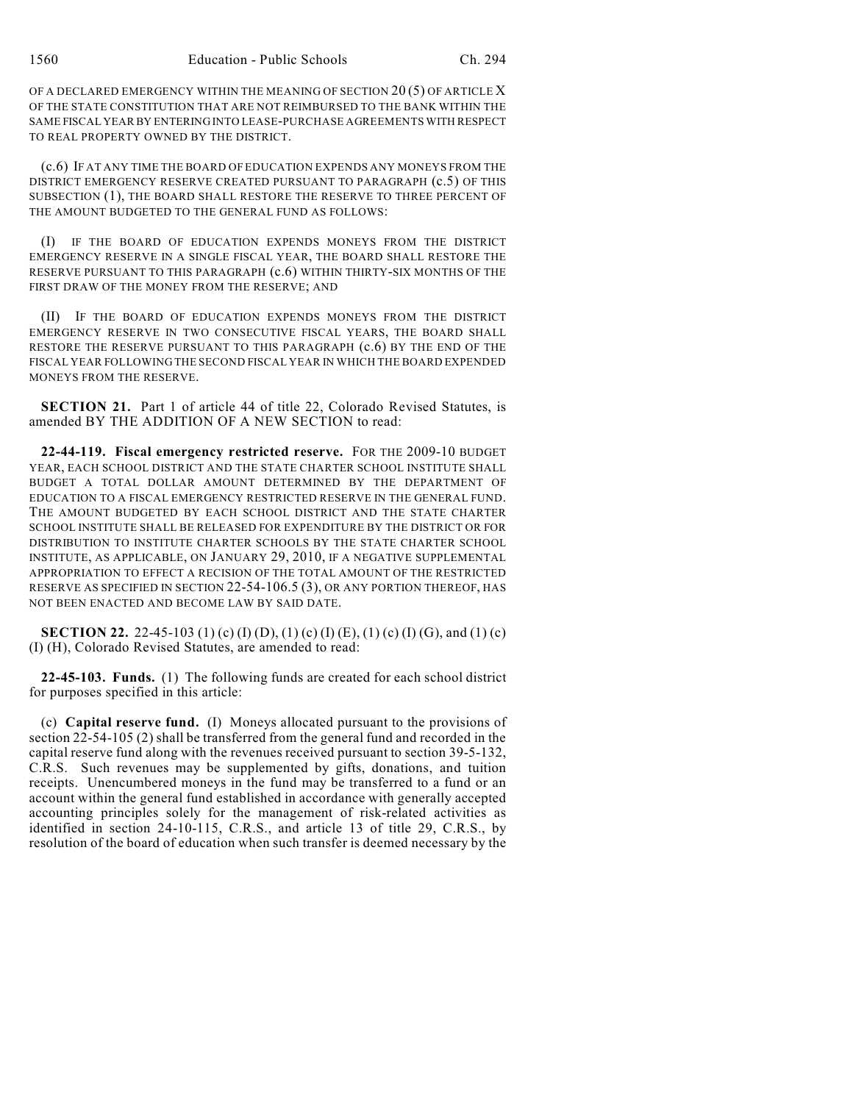OF A DECLARED EMERGENCY WITHIN THE MEANING OF SECTION 20 (5) OF ARTICLE X OF THE STATE CONSTITUTION THAT ARE NOT REIMBURSED TO THE BANK WITHIN THE SAME FISCAL YEAR BY ENTERING INTO LEASE-PURCHASE AGREEMENTS WITH RESPECT TO REAL PROPERTY OWNED BY THE DISTRICT.

(c.6) IF AT ANY TIME THE BOARD OF EDUCATION EXPENDS ANY MONEYS FROM THE DISTRICT EMERGENCY RESERVE CREATED PURSUANT TO PARAGRAPH (c.5) OF THIS SUBSECTION (1), THE BOARD SHALL RESTORE THE RESERVE TO THREE PERCENT OF THE AMOUNT BUDGETED TO THE GENERAL FUND AS FOLLOWS:

(I) IF THE BOARD OF EDUCATION EXPENDS MONEYS FROM THE DISTRICT EMERGENCY RESERVE IN A SINGLE FISCAL YEAR, THE BOARD SHALL RESTORE THE RESERVE PURSUANT TO THIS PARAGRAPH (c.6) WITHIN THIRTY-SIX MONTHS OF THE FIRST DRAW OF THE MONEY FROM THE RESERVE; AND

(II) IF THE BOARD OF EDUCATION EXPENDS MONEYS FROM THE DISTRICT EMERGENCY RESERVE IN TWO CONSECUTIVE FISCAL YEARS, THE BOARD SHALL RESTORE THE RESERVE PURSUANT TO THIS PARAGRAPH (c.6) BY THE END OF THE FISCAL YEAR FOLLOWING THE SECOND FISCAL YEAR IN WHICH THE BOARD EXPENDED MONEYS FROM THE RESERVE.

**SECTION 21.** Part 1 of article 44 of title 22, Colorado Revised Statutes, is amended BY THE ADDITION OF A NEW SECTION to read:

**22-44-119. Fiscal emergency restricted reserve.** FOR THE 2009-10 BUDGET YEAR, EACH SCHOOL DISTRICT AND THE STATE CHARTER SCHOOL INSTITUTE SHALL BUDGET A TOTAL DOLLAR AMOUNT DETERMINED BY THE DEPARTMENT OF EDUCATION TO A FISCAL EMERGENCY RESTRICTED RESERVE IN THE GENERAL FUND. THE AMOUNT BUDGETED BY EACH SCHOOL DISTRICT AND THE STATE CHARTER SCHOOL INSTITUTE SHALL BE RELEASED FOR EXPENDITURE BY THE DISTRICT OR FOR DISTRIBUTION TO INSTITUTE CHARTER SCHOOLS BY THE STATE CHARTER SCHOOL INSTITUTE, AS APPLICABLE, ON JANUARY 29, 2010, IF A NEGATIVE SUPPLEMENTAL APPROPRIATION TO EFFECT A RECISION OF THE TOTAL AMOUNT OF THE RESTRICTED RESERVE AS SPECIFIED IN SECTION 22-54-106.5 (3), OR ANY PORTION THEREOF, HAS NOT BEEN ENACTED AND BECOME LAW BY SAID DATE.

**SECTION 22.** 22-45-103 (1) (c) (I) (D), (1) (c) (I) (E), (1) (c) (I) (G), and (1) (c) (I) (H), Colorado Revised Statutes, are amended to read:

**22-45-103. Funds.** (1) The following funds are created for each school district for purposes specified in this article:

(c) **Capital reserve fund.** (I) Moneys allocated pursuant to the provisions of section 22-54-105 (2) shall be transferred from the general fund and recorded in the capital reserve fund along with the revenues received pursuant to section 39-5-132, C.R.S. Such revenues may be supplemented by gifts, donations, and tuition receipts. Unencumbered moneys in the fund may be transferred to a fund or an account within the general fund established in accordance with generally accepted accounting principles solely for the management of risk-related activities as identified in section 24-10-115, C.R.S., and article 13 of title 29, C.R.S., by resolution of the board of education when such transfer is deemed necessary by the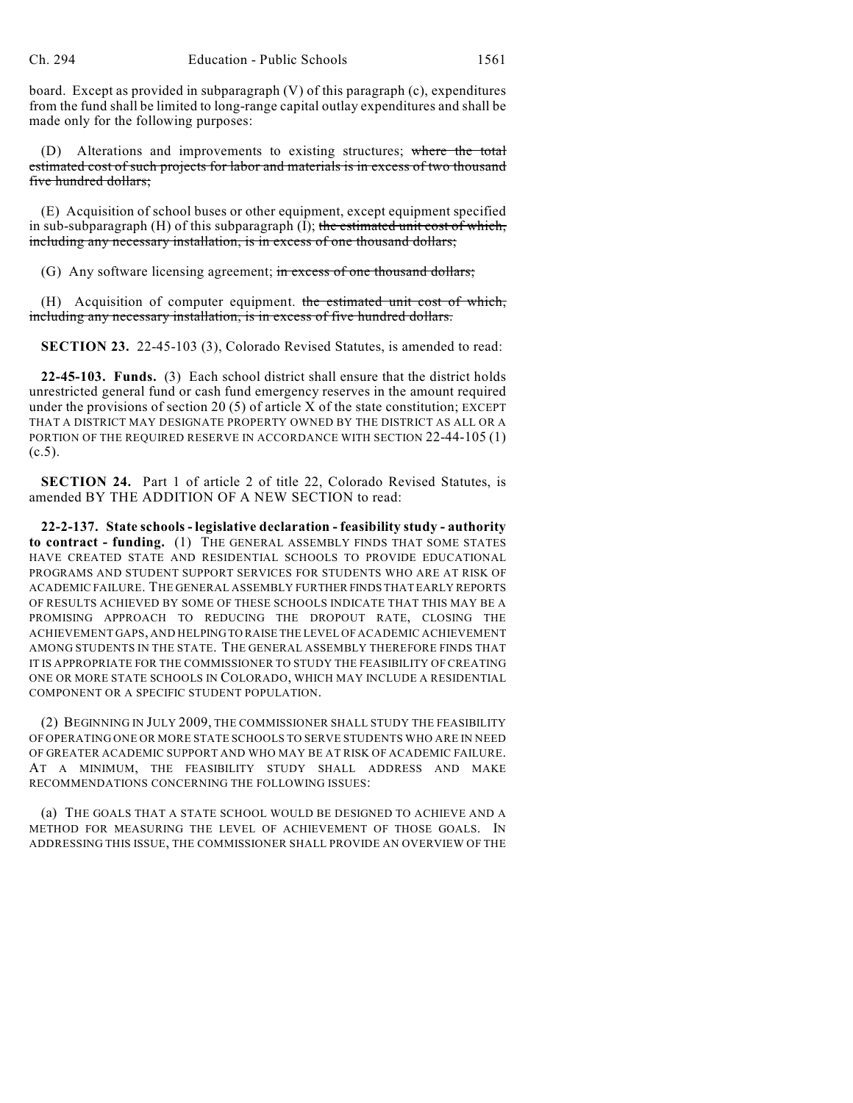board. Except as provided in subparagraph (V) of this paragraph (c), expenditures from the fund shall be limited to long-range capital outlay expenditures and shall be made only for the following purposes:

(D) Alterations and improvements to existing structures; where the total estimated cost of such projects for labor and materials is in excess of two thousand five hundred dollars;

(E) Acquisition of school buses or other equipment, except equipment specified in sub-subparagraph  $(H)$  of this subparagraph  $(I)$ ; the estimated unit cost of which, including any necessary installation, is in excess of one thousand dollars;

(G) Any software licensing agreement; in excess of one thousand dollars;

(H) Acquisition of computer equipment. the estimated unit cost of which, including any necessary installation, is in excess of five hundred dollars.

**SECTION 23.** 22-45-103 (3), Colorado Revised Statutes, is amended to read:

**22-45-103. Funds.** (3) Each school district shall ensure that the district holds unrestricted general fund or cash fund emergency reserves in the amount required under the provisions of section 20  $(5)$  of article X of the state constitution; EXCEPT THAT A DISTRICT MAY DESIGNATE PROPERTY OWNED BY THE DISTRICT AS ALL OR A PORTION OF THE REQUIRED RESERVE IN ACCORDANCE WITH SECTION 22-44-105 (1)  $(c.5)$ .

**SECTION 24.** Part 1 of article 2 of title 22, Colorado Revised Statutes, is amended BY THE ADDITION OF A NEW SECTION to read:

**22-2-137. State schools - legislative declaration - feasibility study - authority to contract - funding.** (1) THE GENERAL ASSEMBLY FINDS THAT SOME STATES HAVE CREATED STATE AND RESIDENTIAL SCHOOLS TO PROVIDE EDUCATIONAL PROGRAMS AND STUDENT SUPPORT SERVICES FOR STUDENTS WHO ARE AT RISK OF ACADEMIC FAILURE. THE GENERAL ASSEMBLY FURTHER FINDS THAT EARLY REPORTS OF RESULTS ACHIEVED BY SOME OF THESE SCHOOLS INDICATE THAT THIS MAY BE A PROMISING APPROACH TO REDUCING THE DROPOUT RATE, CLOSING THE ACHIEVEMENT GAPS, AND HELPING TO RAISE THE LEVEL OF ACADEMIC ACHIEVEMENT AMONG STUDENTS IN THE STATE. THE GENERAL ASSEMBLY THEREFORE FINDS THAT IT IS APPROPRIATE FOR THE COMMISSIONER TO STUDY THE FEASIBILITY OF CREATING ONE OR MORE STATE SCHOOLS IN COLORADO, WHICH MAY INCLUDE A RESIDENTIAL COMPONENT OR A SPECIFIC STUDENT POPULATION.

(2) BEGINNING IN JULY 2009, THE COMMISSIONER SHALL STUDY THE FEASIBILITY OF OPERATING ONE OR MORE STATE SCHOOLS TO SERVE STUDENTS WHO ARE IN NEED OF GREATER ACADEMIC SUPPORT AND WHO MAY BE AT RISK OF ACADEMIC FAILURE. AT A MINIMUM, THE FEASIBILITY STUDY SHALL ADDRESS AND MAKE RECOMMENDATIONS CONCERNING THE FOLLOWING ISSUES:

(a) THE GOALS THAT A STATE SCHOOL WOULD BE DESIGNED TO ACHIEVE AND A METHOD FOR MEASURING THE LEVEL OF ACHIEVEMENT OF THOSE GOALS. IN ADDRESSING THIS ISSUE, THE COMMISSIONER SHALL PROVIDE AN OVERVIEW OF THE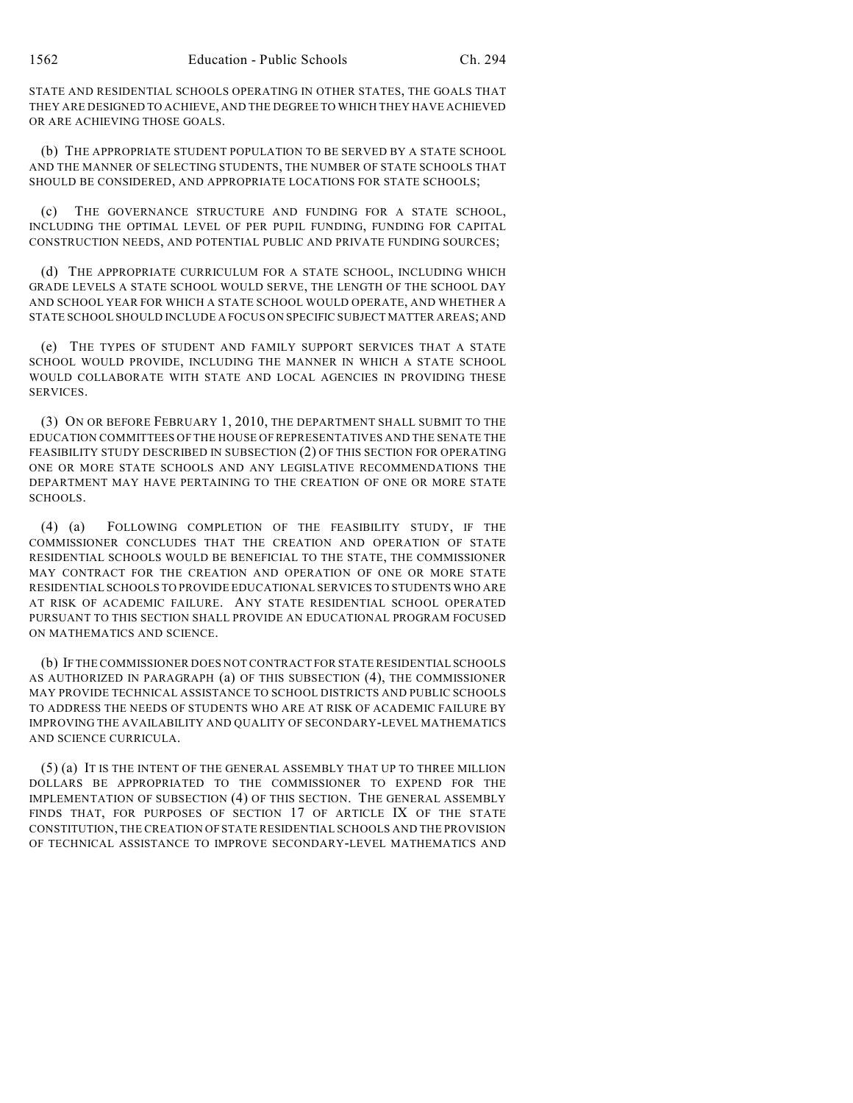STATE AND RESIDENTIAL SCHOOLS OPERATING IN OTHER STATES, THE GOALS THAT THEY ARE DESIGNED TO ACHIEVE, AND THE DEGREE TO WHICH THEY HAVE ACHIEVED OR ARE ACHIEVING THOSE GOALS.

(b) THE APPROPRIATE STUDENT POPULATION TO BE SERVED BY A STATE SCHOOL AND THE MANNER OF SELECTING STUDENTS, THE NUMBER OF STATE SCHOOLS THAT SHOULD BE CONSIDERED, AND APPROPRIATE LOCATIONS FOR STATE SCHOOLS;

(c) THE GOVERNANCE STRUCTURE AND FUNDING FOR A STATE SCHOOL, INCLUDING THE OPTIMAL LEVEL OF PER PUPIL FUNDING, FUNDING FOR CAPITAL CONSTRUCTION NEEDS, AND POTENTIAL PUBLIC AND PRIVATE FUNDING SOURCES;

(d) THE APPROPRIATE CURRICULUM FOR A STATE SCHOOL, INCLUDING WHICH GRADE LEVELS A STATE SCHOOL WOULD SERVE, THE LENGTH OF THE SCHOOL DAY AND SCHOOL YEAR FOR WHICH A STATE SCHOOL WOULD OPERATE, AND WHETHER A STATE SCHOOL SHOULD INCLUDE A FOCUS ON SPECIFIC SUBJECT MATTER AREAS; AND

(e) THE TYPES OF STUDENT AND FAMILY SUPPORT SERVICES THAT A STATE SCHOOL WOULD PROVIDE, INCLUDING THE MANNER IN WHICH A STATE SCHOOL WOULD COLLABORATE WITH STATE AND LOCAL AGENCIES IN PROVIDING THESE SERVICES.

(3) ON OR BEFORE FEBRUARY 1, 2010, THE DEPARTMENT SHALL SUBMIT TO THE EDUCATION COMMITTEES OF THE HOUSE OF REPRESENTATIVES AND THE SENATE THE FEASIBILITY STUDY DESCRIBED IN SUBSECTION (2) OF THIS SECTION FOR OPERATING ONE OR MORE STATE SCHOOLS AND ANY LEGISLATIVE RECOMMENDATIONS THE DEPARTMENT MAY HAVE PERTAINING TO THE CREATION OF ONE OR MORE STATE SCHOOLS.

(4) (a) FOLLOWING COMPLETION OF THE FEASIBILITY STUDY, IF THE COMMISSIONER CONCLUDES THAT THE CREATION AND OPERATION OF STATE RESIDENTIAL SCHOOLS WOULD BE BENEFICIAL TO THE STATE, THE COMMISSIONER MAY CONTRACT FOR THE CREATION AND OPERATION OF ONE OR MORE STATE RESIDENTIAL SCHOOLS TO PROVIDE EDUCATIONAL SERVICES TO STUDENTS WHO ARE AT RISK OF ACADEMIC FAILURE. ANY STATE RESIDENTIAL SCHOOL OPERATED PURSUANT TO THIS SECTION SHALL PROVIDE AN EDUCATIONAL PROGRAM FOCUSED ON MATHEMATICS AND SCIENCE.

(b) IF THE COMMISSIONER DOES NOT CONTRACT FOR STATE RESIDENTIAL SCHOOLS AS AUTHORIZED IN PARAGRAPH (a) OF THIS SUBSECTION (4), THE COMMISSIONER MAY PROVIDE TECHNICAL ASSISTANCE TO SCHOOL DISTRICTS AND PUBLIC SCHOOLS TO ADDRESS THE NEEDS OF STUDENTS WHO ARE AT RISK OF ACADEMIC FAILURE BY IMPROVING THE AVAILABILITY AND QUALITY OF SECONDARY-LEVEL MATHEMATICS AND SCIENCE CURRICULA.

(5) (a) IT IS THE INTENT OF THE GENERAL ASSEMBLY THAT UP TO THREE MILLION DOLLARS BE APPROPRIATED TO THE COMMISSIONER TO EXPEND FOR THE IMPLEMENTATION OF SUBSECTION (4) OF THIS SECTION. THE GENERAL ASSEMBLY FINDS THAT, FOR PURPOSES OF SECTION 17 OF ARTICLE IX OF THE STATE CONSTITUTION, THE CREATION OF STATE RESIDENTIAL SCHOOLS AND THE PROVISION OF TECHNICAL ASSISTANCE TO IMPROVE SECONDARY-LEVEL MATHEMATICS AND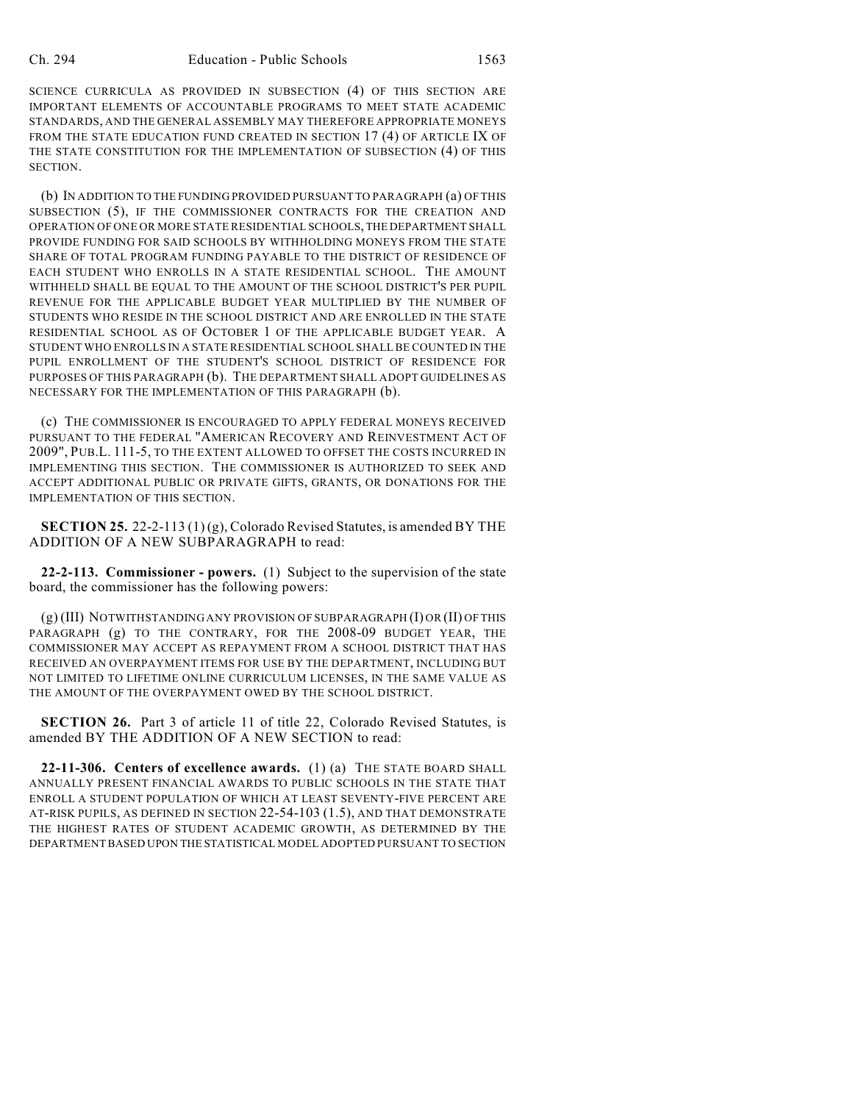SCIENCE CURRICULA AS PROVIDED IN SUBSECTION (4) OF THIS SECTION ARE IMPORTANT ELEMENTS OF ACCOUNTABLE PROGRAMS TO MEET STATE ACADEMIC STANDARDS, AND THE GENERAL ASSEMBLY MAY THEREFORE APPROPRIATE MONEYS FROM THE STATE EDUCATION FUND CREATED IN SECTION 17 (4) OF ARTICLE IX OF THE STATE CONSTITUTION FOR THE IMPLEMENTATION OF SUBSECTION (4) OF THIS SECTION.

(b) IN ADDITION TO THE FUNDING PROVIDED PURSUANT TO PARAGRAPH (a) OF THIS SUBSECTION (5), IF THE COMMISSIONER CONTRACTS FOR THE CREATION AND OPERATION OF ONE OR MORE STATE RESIDENTIAL SCHOOLS, THE DEPARTMENT SHALL PROVIDE FUNDING FOR SAID SCHOOLS BY WITHHOLDING MONEYS FROM THE STATE SHARE OF TOTAL PROGRAM FUNDING PAYABLE TO THE DISTRICT OF RESIDENCE OF EACH STUDENT WHO ENROLLS IN A STATE RESIDENTIAL SCHOOL. THE AMOUNT WITHHELD SHALL BE EQUAL TO THE AMOUNT OF THE SCHOOL DISTRICT'S PER PUPIL REVENUE FOR THE APPLICABLE BUDGET YEAR MULTIPLIED BY THE NUMBER OF STUDENTS WHO RESIDE IN THE SCHOOL DISTRICT AND ARE ENROLLED IN THE STATE RESIDENTIAL SCHOOL AS OF OCTOBER 1 OF THE APPLICABLE BUDGET YEAR. A STUDENT WHO ENROLLS IN A STATE RESIDENTIAL SCHOOL SHALL BE COUNTED IN THE PUPIL ENROLLMENT OF THE STUDENT'S SCHOOL DISTRICT OF RESIDENCE FOR PURPOSES OF THIS PARAGRAPH (b). THE DEPARTMENT SHALL ADOPT GUIDELINES AS NECESSARY FOR THE IMPLEMENTATION OF THIS PARAGRAPH (b).

(c) THE COMMISSIONER IS ENCOURAGED TO APPLY FEDERAL MONEYS RECEIVED PURSUANT TO THE FEDERAL "AMERICAN RECOVERY AND REINVESTMENT ACT OF 2009", PUB.L. 111-5, TO THE EXTENT ALLOWED TO OFFSET THE COSTS INCURRED IN IMPLEMENTING THIS SECTION. THE COMMISSIONER IS AUTHORIZED TO SEEK AND ACCEPT ADDITIONAL PUBLIC OR PRIVATE GIFTS, GRANTS, OR DONATIONS FOR THE IMPLEMENTATION OF THIS SECTION.

**SECTION 25.** 22-2-113 (1) (g), Colorado Revised Statutes, is amended BY THE ADDITION OF A NEW SUBPARAGRAPH to read:

**22-2-113. Commissioner - powers.** (1) Subject to the supervision of the state board, the commissioner has the following powers:

(g) (III) NOTWITHSTANDING ANY PROVISION OF SUBPARAGRAPH (I) OR (II) OF THIS PARAGRAPH (g) TO THE CONTRARY, FOR THE 2008-09 BUDGET YEAR, THE COMMISSIONER MAY ACCEPT AS REPAYMENT FROM A SCHOOL DISTRICT THAT HAS RECEIVED AN OVERPAYMENT ITEMS FOR USE BY THE DEPARTMENT, INCLUDING BUT NOT LIMITED TO LIFETIME ONLINE CURRICULUM LICENSES, IN THE SAME VALUE AS THE AMOUNT OF THE OVERPAYMENT OWED BY THE SCHOOL DISTRICT.

**SECTION 26.** Part 3 of article 11 of title 22, Colorado Revised Statutes, is amended BY THE ADDITION OF A NEW SECTION to read:

**22-11-306. Centers of excellence awards.** (1) (a) THE STATE BOARD SHALL ANNUALLY PRESENT FINANCIAL AWARDS TO PUBLIC SCHOOLS IN THE STATE THAT ENROLL A STUDENT POPULATION OF WHICH AT LEAST SEVENTY-FIVE PERCENT ARE AT-RISK PUPILS, AS DEFINED IN SECTION 22-54-103 (1.5), AND THAT DEMONSTRATE THE HIGHEST RATES OF STUDENT ACADEMIC GROWTH, AS DETERMINED BY THE DEPARTMENT BASED UPON THE STATISTICAL MODEL ADOPTED PURSUANT TO SECTION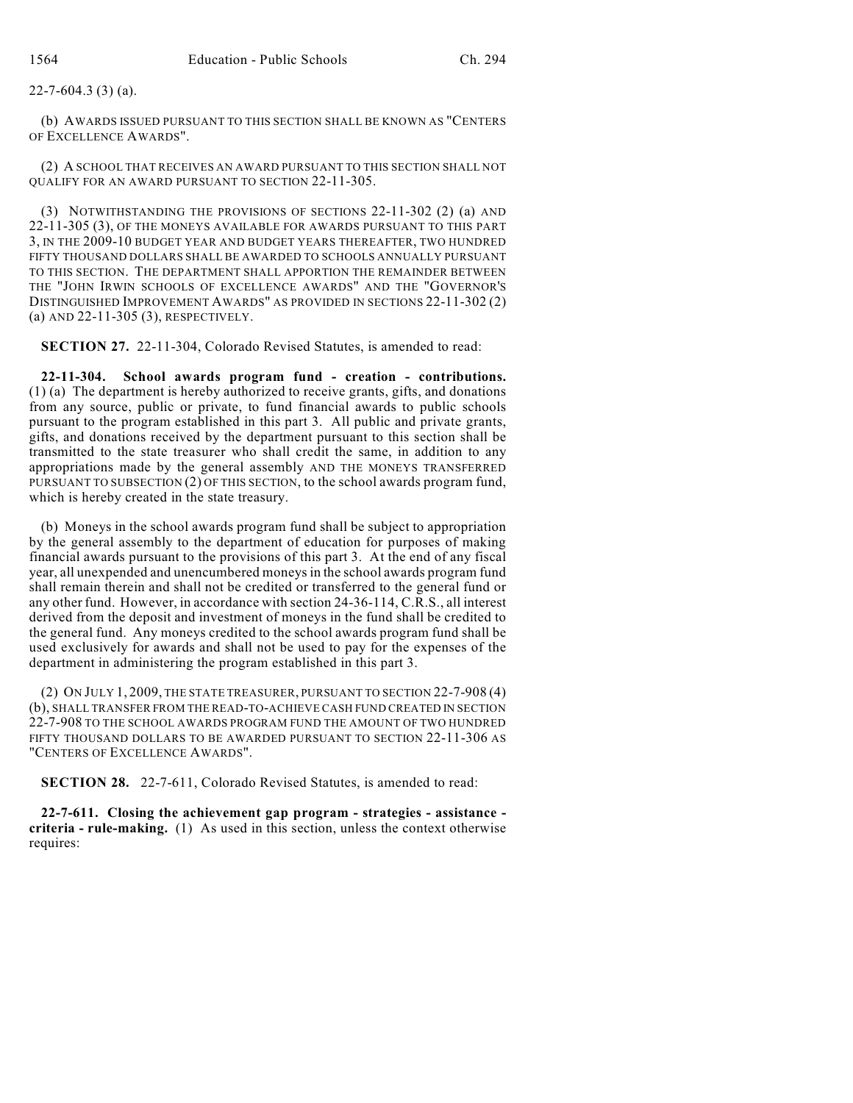## 22-7-604.3 (3) (a).

(b) AWARDS ISSUED PURSUANT TO THIS SECTION SHALL BE KNOWN AS "CENTERS OF EXCELLENCE AWARDS".

(2) A SCHOOL THAT RECEIVES AN AWARD PURSUANT TO THIS SECTION SHALL NOT QUALIFY FOR AN AWARD PURSUANT TO SECTION 22-11-305.

(3) NOTWITHSTANDING THE PROVISIONS OF SECTIONS 22-11-302 (2) (a) AND 22-11-305 (3), OF THE MONEYS AVAILABLE FOR AWARDS PURSUANT TO THIS PART 3, IN THE 2009-10 BUDGET YEAR AND BUDGET YEARS THEREAFTER, TWO HUNDRED FIFTY THOUSAND DOLLARS SHALL BE AWARDED TO SCHOOLS ANNUALLY PURSUANT TO THIS SECTION. THE DEPARTMENT SHALL APPORTION THE REMAINDER BETWEEN THE "JOHN IRWIN SCHOOLS OF EXCELLENCE AWARDS" AND THE "GOVERNOR'S DISTINGUISHED IMPROVEMENT AWARDS" AS PROVIDED IN SECTIONS 22-11-302 (2) (a) AND 22-11-305 (3), RESPECTIVELY.

**SECTION 27.** 22-11-304, Colorado Revised Statutes, is amended to read:

**22-11-304. School awards program fund - creation - contributions.** (1) (a) The department is hereby authorized to receive grants, gifts, and donations from any source, public or private, to fund financial awards to public schools pursuant to the program established in this part 3. All public and private grants, gifts, and donations received by the department pursuant to this section shall be transmitted to the state treasurer who shall credit the same, in addition to any appropriations made by the general assembly AND THE MONEYS TRANSFERRED PURSUANT TO SUBSECTION (2) OF THIS SECTION, to the school awards program fund, which is hereby created in the state treasury.

(b) Moneys in the school awards program fund shall be subject to appropriation by the general assembly to the department of education for purposes of making financial awards pursuant to the provisions of this part 3. At the end of any fiscal year, all unexpended and unencumbered moneys in the school awards program fund shall remain therein and shall not be credited or transferred to the general fund or any other fund. However, in accordance with section 24-36-114, C.R.S., all interest derived from the deposit and investment of moneys in the fund shall be credited to the general fund. Any moneys credited to the school awards program fund shall be used exclusively for awards and shall not be used to pay for the expenses of the department in administering the program established in this part 3.

(2) ON JULY 1, 2009, THE STATE TREASURER, PURSUANT TO SECTION 22-7-908 (4) (b), SHALL TRANSFER FROM THE READ-TO-ACHIEVE CASH FUND CREATED IN SECTION 22-7-908 TO THE SCHOOL AWARDS PROGRAM FUND THE AMOUNT OF TWO HUNDRED FIFTY THOUSAND DOLLARS TO BE AWARDED PURSUANT TO SECTION 22-11-306 AS "CENTERS OF EXCELLENCE AWARDS".

**SECTION 28.** 22-7-611, Colorado Revised Statutes, is amended to read:

**22-7-611. Closing the achievement gap program - strategies - assistance criteria - rule-making.** (1) As used in this section, unless the context otherwise requires: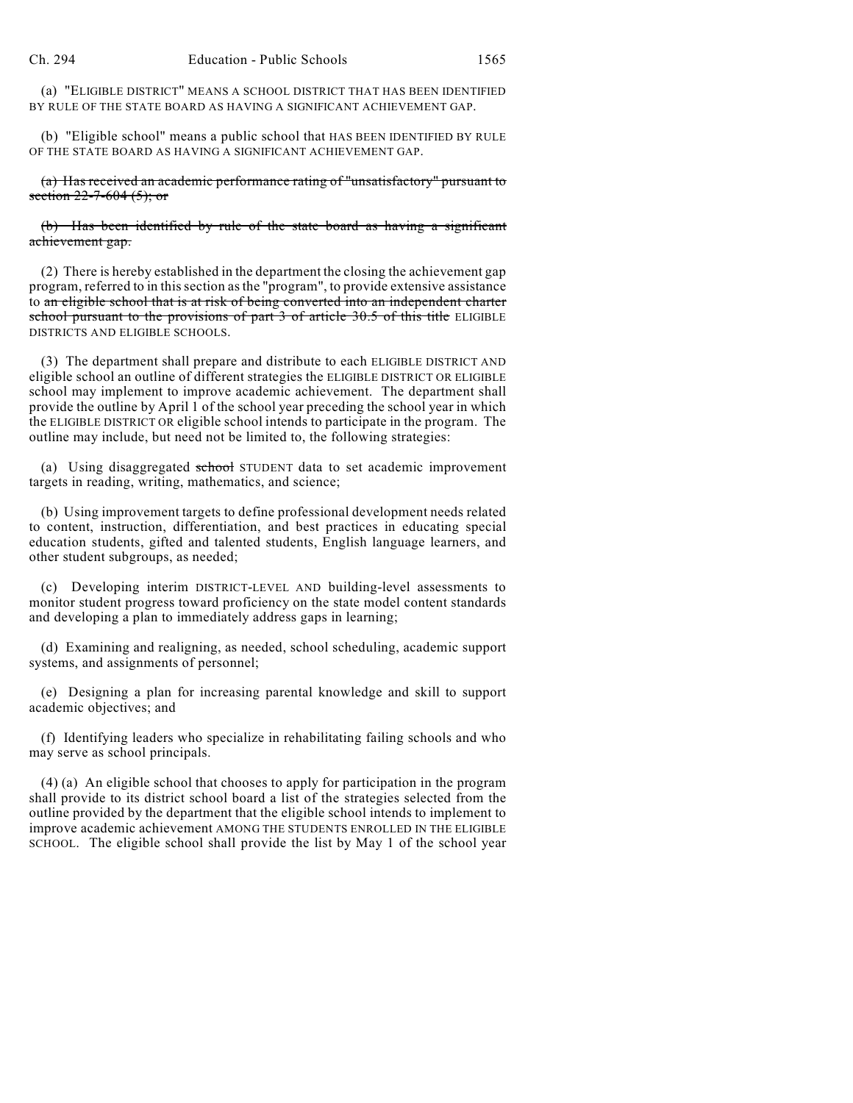(a) "ELIGIBLE DISTRICT" MEANS A SCHOOL DISTRICT THAT HAS BEEN IDENTIFIED BY RULE OF THE STATE BOARD AS HAVING A SIGNIFICANT ACHIEVEMENT GAP.

(b) "Eligible school" means a public school that HAS BEEN IDENTIFIED BY RULE OF THE STATE BOARD AS HAVING A SIGNIFICANT ACHIEVEMENT GAP.

(a) Has received an academic performance rating of "unsatisfactory" pursuant to section  $22 - 7 - 604$  (5); or

(b) Has been identified by rule of the state board as having a significant achievement gap.

(2) There is hereby established in the department the closing the achievement gap program, referred to in this section as the "program", to provide extensive assistance to an eligible school that is at risk of being converted into an independent charter school pursuant to the provisions of part 3 of article 30.5 of this title ELIGIBLE DISTRICTS AND ELIGIBLE SCHOOLS.

(3) The department shall prepare and distribute to each ELIGIBLE DISTRICT AND eligible school an outline of different strategies the ELIGIBLE DISTRICT OR ELIGIBLE school may implement to improve academic achievement. The department shall provide the outline by April 1 of the school year preceding the school year in which the ELIGIBLE DISTRICT OR eligible school intends to participate in the program. The outline may include, but need not be limited to, the following strategies:

(a) Using disaggregated school STUDENT data to set academic improvement targets in reading, writing, mathematics, and science;

(b) Using improvement targets to define professional development needs related to content, instruction, differentiation, and best practices in educating special education students, gifted and talented students, English language learners, and other student subgroups, as needed;

(c) Developing interim DISTRICT-LEVEL AND building-level assessments to monitor student progress toward proficiency on the state model content standards and developing a plan to immediately address gaps in learning;

(d) Examining and realigning, as needed, school scheduling, academic support systems, and assignments of personnel;

(e) Designing a plan for increasing parental knowledge and skill to support academic objectives; and

(f) Identifying leaders who specialize in rehabilitating failing schools and who may serve as school principals.

(4) (a) An eligible school that chooses to apply for participation in the program shall provide to its district school board a list of the strategies selected from the outline provided by the department that the eligible school intends to implement to improve academic achievement AMONG THE STUDENTS ENROLLED IN THE ELIGIBLE SCHOOL. The eligible school shall provide the list by May 1 of the school year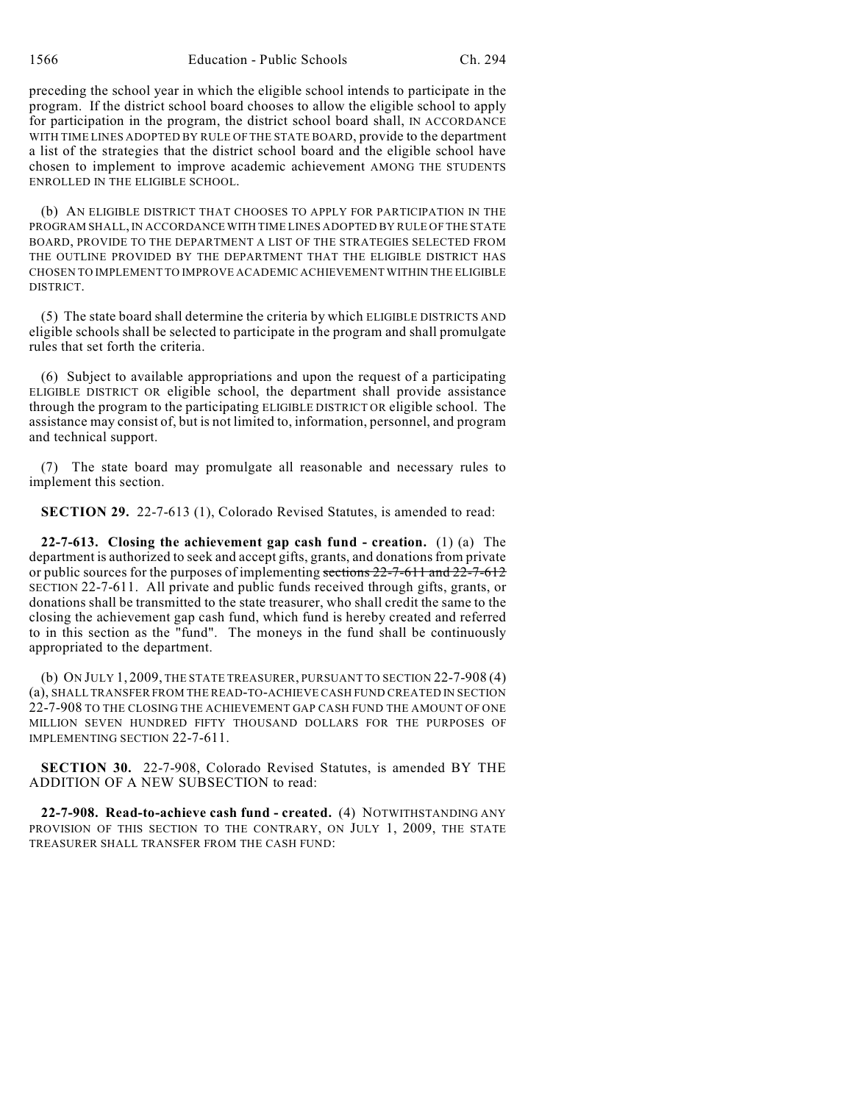1566 Education - Public Schools Ch. 294

preceding the school year in which the eligible school intends to participate in the program. If the district school board chooses to allow the eligible school to apply for participation in the program, the district school board shall, IN ACCORDANCE WITH TIME LINES ADOPTED BY RULE OF THE STATE BOARD, provide to the department a list of the strategies that the district school board and the eligible school have chosen to implement to improve academic achievement AMONG THE STUDENTS ENROLLED IN THE ELIGIBLE SCHOOL.

(b) AN ELIGIBLE DISTRICT THAT CHOOSES TO APPLY FOR PARTICIPATION IN THE PROGRAM SHALL, IN ACCORDANCE WITH TIME LINES ADOPTED BY RULE OF THE STATE BOARD, PROVIDE TO THE DEPARTMENT A LIST OF THE STRATEGIES SELECTED FROM THE OUTLINE PROVIDED BY THE DEPARTMENT THAT THE ELIGIBLE DISTRICT HAS CHOSEN TO IMPLEMENT TO IMPROVE ACADEMIC ACHIEVEMENT WITHIN THE ELIGIBLE DISTRICT.

(5) The state board shall determine the criteria by which ELIGIBLE DISTRICTS AND eligible schools shall be selected to participate in the program and shall promulgate rules that set forth the criteria.

(6) Subject to available appropriations and upon the request of a participating ELIGIBLE DISTRICT OR eligible school, the department shall provide assistance through the program to the participating ELIGIBLE DISTRICT OR eligible school. The assistance may consist of, but is not limited to, information, personnel, and program and technical support.

(7) The state board may promulgate all reasonable and necessary rules to implement this section.

**SECTION 29.** 22-7-613 (1), Colorado Revised Statutes, is amended to read:

**22-7-613. Closing the achievement gap cash fund - creation.** (1) (a) The department is authorized to seek and accept gifts, grants, and donations from private or public sources for the purposes of implementing sections 22-7-611 and 22-7-612 SECTION 22-7-611. All private and public funds received through gifts, grants, or donations shall be transmitted to the state treasurer, who shall credit the same to the closing the achievement gap cash fund, which fund is hereby created and referred to in this section as the "fund". The moneys in the fund shall be continuously appropriated to the department.

(b) ON JULY 1, 2009, THE STATE TREASURER, PURSUANT TO SECTION 22-7-908 (4) (a), SHALL TRANSFER FROM THE READ-TO-ACHIEVE CASH FUND CREATED IN SECTION 22-7-908 TO THE CLOSING THE ACHIEVEMENT GAP CASH FUND THE AMOUNT OF ONE MILLION SEVEN HUNDRED FIFTY THOUSAND DOLLARS FOR THE PURPOSES OF IMPLEMENTING SECTION 22-7-611.

**SECTION 30.** 22-7-908, Colorado Revised Statutes, is amended BY THE ADDITION OF A NEW SUBSECTION to read:

**22-7-908. Read-to-achieve cash fund - created.** (4) NOTWITHSTANDING ANY PROVISION OF THIS SECTION TO THE CONTRARY, ON JULY 1, 2009, THE STATE TREASURER SHALL TRANSFER FROM THE CASH FUND: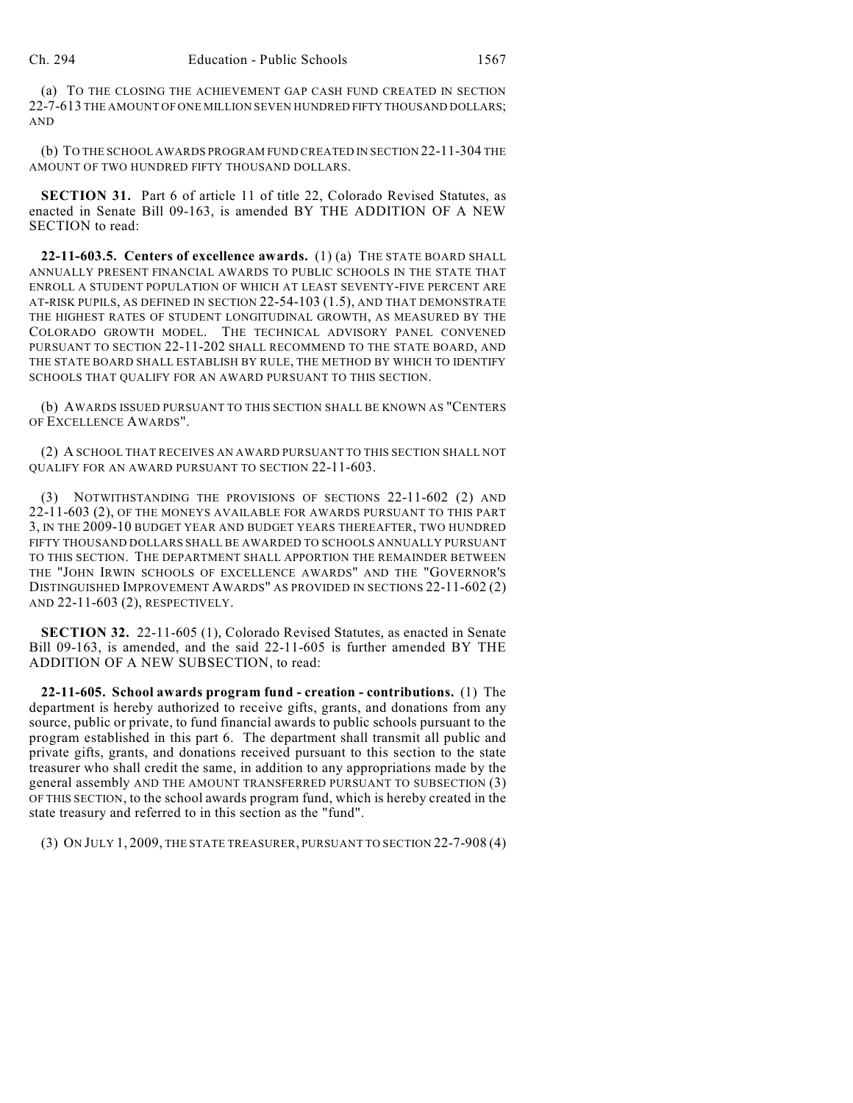(a) TO THE CLOSING THE ACHIEVEMENT GAP CASH FUND CREATED IN SECTION 22-7-613 THE AMOUNT OF ONE MILLION SEVEN HUNDRED FIFTY THOUSAND DOLLARS; AND

(b) TO THE SCHOOL AWARDS PROGRAM FUND CREATED IN SECTION 22-11-304 THE AMOUNT OF TWO HUNDRED FIFTY THOUSAND DOLLARS.

**SECTION 31.** Part 6 of article 11 of title 22, Colorado Revised Statutes, as enacted in Senate Bill 09-163, is amended BY THE ADDITION OF A NEW SECTION to read:

**22-11-603.5. Centers of excellence awards.** (1) (a) THE STATE BOARD SHALL ANNUALLY PRESENT FINANCIAL AWARDS TO PUBLIC SCHOOLS IN THE STATE THAT ENROLL A STUDENT POPULATION OF WHICH AT LEAST SEVENTY-FIVE PERCENT ARE AT-RISK PUPILS, AS DEFINED IN SECTION 22-54-103 (1.5), AND THAT DEMONSTRATE THE HIGHEST RATES OF STUDENT LONGITUDINAL GROWTH, AS MEASURED BY THE COLORADO GROWTH MODEL. THE TECHNICAL ADVISORY PANEL CONVENED PURSUANT TO SECTION 22-11-202 SHALL RECOMMEND TO THE STATE BOARD, AND THE STATE BOARD SHALL ESTABLISH BY RULE, THE METHOD BY WHICH TO IDENTIFY SCHOOLS THAT QUALIFY FOR AN AWARD PURSUANT TO THIS SECTION.

(b) AWARDS ISSUED PURSUANT TO THIS SECTION SHALL BE KNOWN AS "CENTERS OF EXCELLENCE AWARDS".

(2) A SCHOOL THAT RECEIVES AN AWARD PURSUANT TO THIS SECTION SHALL NOT QUALIFY FOR AN AWARD PURSUANT TO SECTION 22-11-603.

(3) NOTWITHSTANDING THE PROVISIONS OF SECTIONS 22-11-602 (2) AND 22-11-603 (2), OF THE MONEYS AVAILABLE FOR AWARDS PURSUANT TO THIS PART 3, IN THE 2009-10 BUDGET YEAR AND BUDGET YEARS THEREAFTER, TWO HUNDRED FIFTY THOUSAND DOLLARS SHALL BE AWARDED TO SCHOOLS ANNUALLY PURSUANT TO THIS SECTION. THE DEPARTMENT SHALL APPORTION THE REMAINDER BETWEEN THE "JOHN IRWIN SCHOOLS OF EXCELLENCE AWARDS" AND THE "GOVERNOR'S DISTINGUISHED IMPROVEMENT AWARDS" AS PROVIDED IN SECTIONS 22-11-602 (2) AND 22-11-603 (2), RESPECTIVELY.

**SECTION 32.** 22-11-605 (1), Colorado Revised Statutes, as enacted in Senate Bill 09-163, is amended, and the said 22-11-605 is further amended BY THE ADDITION OF A NEW SUBSECTION, to read:

**22-11-605. School awards program fund - creation - contributions.** (1) The department is hereby authorized to receive gifts, grants, and donations from any source, public or private, to fund financial awards to public schools pursuant to the program established in this part 6. The department shall transmit all public and private gifts, grants, and donations received pursuant to this section to the state treasurer who shall credit the same, in addition to any appropriations made by the general assembly AND THE AMOUNT TRANSFERRED PURSUANT TO SUBSECTION (3) OF THIS SECTION, to the school awards program fund, which is hereby created in the state treasury and referred to in this section as the "fund".

(3) ON JULY 1, 2009, THE STATE TREASURER, PURSUANT TO SECTION 22-7-908 (4)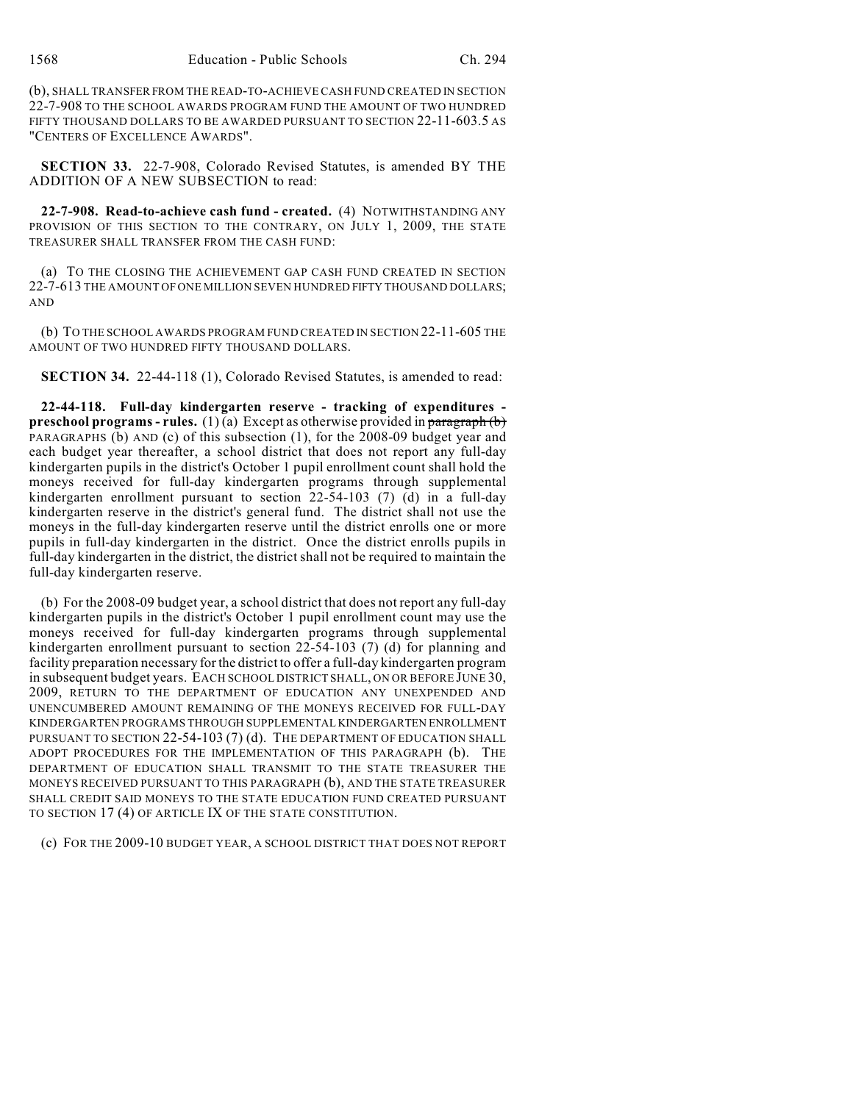(b), SHALL TRANSFER FROM THE READ-TO-ACHIEVE CASH FUND CREATED IN SECTION 22-7-908 TO THE SCHOOL AWARDS PROGRAM FUND THE AMOUNT OF TWO HUNDRED FIFTY THOUSAND DOLLARS TO BE AWARDED PURSUANT TO SECTION 22-11-603.5 AS "CENTERS OF EXCELLENCE AWARDS".

**SECTION 33.** 22-7-908, Colorado Revised Statutes, is amended BY THE ADDITION OF A NEW SUBSECTION to read:

**22-7-908. Read-to-achieve cash fund - created.** (4) NOTWITHSTANDING ANY PROVISION OF THIS SECTION TO THE CONTRARY, ON JULY 1, 2009, THE STATE TREASURER SHALL TRANSFER FROM THE CASH FUND:

(a) TO THE CLOSING THE ACHIEVEMENT GAP CASH FUND CREATED IN SECTION 22-7-613 THE AMOUNT OF ONE MILLION SEVEN HUNDRED FIFTY THOUSAND DOLLARS; AND

(b) TO THE SCHOOL AWARDS PROGRAM FUND CREATED IN SECTION 22-11-605 THE AMOUNT OF TWO HUNDRED FIFTY THOUSAND DOLLARS.

**SECTION 34.** 22-44-118 (1), Colorado Revised Statutes, is amended to read:

**22-44-118. Full-day kindergarten reserve - tracking of expenditures preschool programs - rules.** (1)(a) Except as otherwise provided in paragraph (b) PARAGRAPHS (b) AND (c) of this subsection (1), for the 2008-09 budget year and each budget year thereafter, a school district that does not report any full-day kindergarten pupils in the district's October 1 pupil enrollment count shall hold the moneys received for full-day kindergarten programs through supplemental kindergarten enrollment pursuant to section 22-54-103 (7) (d) in a full-day kindergarten reserve in the district's general fund. The district shall not use the moneys in the full-day kindergarten reserve until the district enrolls one or more pupils in full-day kindergarten in the district. Once the district enrolls pupils in full-day kindergarten in the district, the district shall not be required to maintain the full-day kindergarten reserve.

(b) For the 2008-09 budget year, a school district that does not report any full-day kindergarten pupils in the district's October 1 pupil enrollment count may use the moneys received for full-day kindergarten programs through supplemental kindergarten enrollment pursuant to section 22-54-103 (7) (d) for planning and facility preparation necessary for the district to offer a full-day kindergarten program in subsequent budget years. EACH SCHOOL DISTRICT SHALL, ON OR BEFORE JUNE 30, 2009, RETURN TO THE DEPARTMENT OF EDUCATION ANY UNEXPENDED AND UNENCUMBERED AMOUNT REMAINING OF THE MONEYS RECEIVED FOR FULL-DAY KINDERGARTEN PROGRAMS THROUGH SUPPLEMENTAL KINDERGARTEN ENROLLMENT PURSUANT TO SECTION 22-54-103 (7) (d). THE DEPARTMENT OF EDUCATION SHALL ADOPT PROCEDURES FOR THE IMPLEMENTATION OF THIS PARAGRAPH (b). THE DEPARTMENT OF EDUCATION SHALL TRANSMIT TO THE STATE TREASURER THE MONEYS RECEIVED PURSUANT TO THIS PARAGRAPH (b), AND THE STATE TREASURER SHALL CREDIT SAID MONEYS TO THE STATE EDUCATION FUND CREATED PURSUANT TO SECTION 17 (4) OF ARTICLE IX OF THE STATE CONSTITUTION.

(c) FOR THE 2009-10 BUDGET YEAR, A SCHOOL DISTRICT THAT DOES NOT REPORT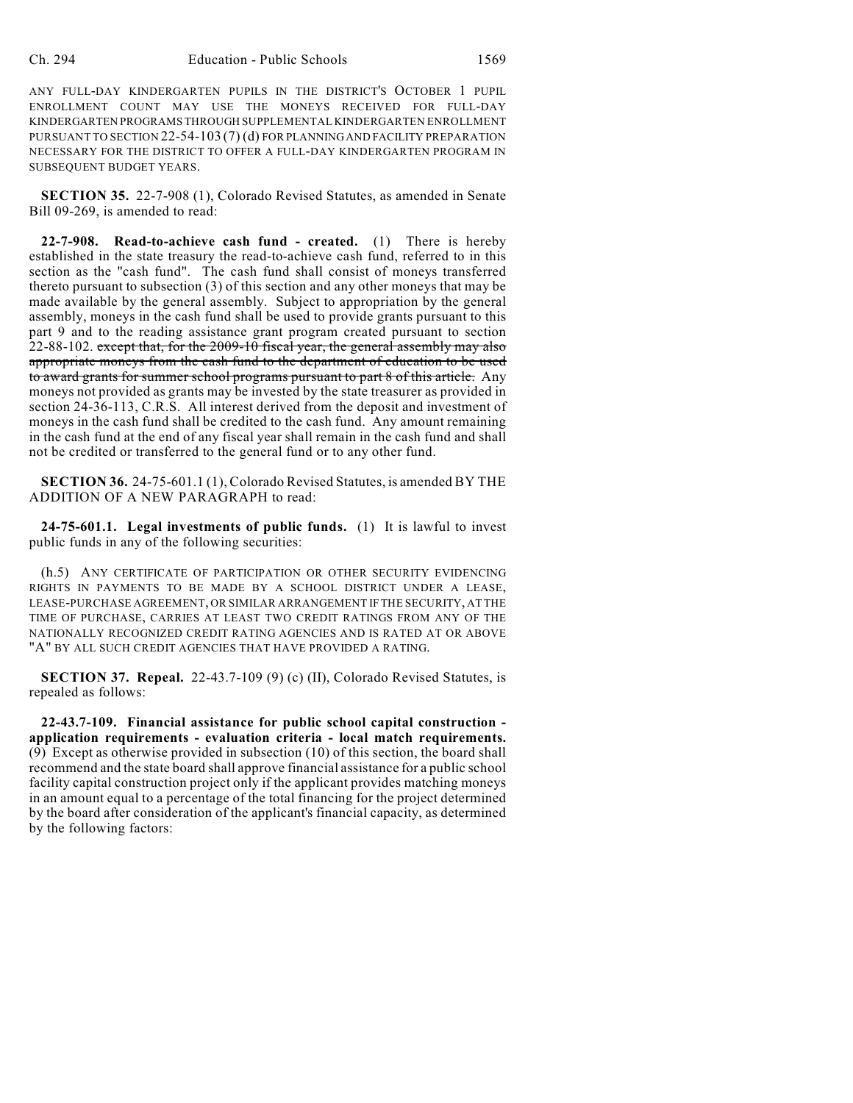ANY FULL-DAY KINDERGARTEN PUPILS IN THE DISTRICT'S OCTOBER 1 PUPIL ENROLLMENT COUNT MAY USE THE MONEYS RECEIVED FOR FULL-DAY KINDERGARTEN PROGRAMS THROUGH SUPPLEMENTAL KINDERGARTEN ENROLLMENT PURSUANT TO SECTION 22-54-103 (7) (d) FOR PLANNING AND FACILITY PREPARATION NECESSARY FOR THE DISTRICT TO OFFER A FULL-DAY KINDERGARTEN PROGRAM IN SUBSEQUENT BUDGET YEARS.

**SECTION 35.** 22-7-908 (1), Colorado Revised Statutes, as amended in Senate Bill 09-269, is amended to read:

**22-7-908. Read-to-achieve cash fund - created.** (1) There is hereby established in the state treasury the read-to-achieve cash fund, referred to in this section as the "cash fund". The cash fund shall consist of moneys transferred thereto pursuant to subsection (3) of this section and any other moneys that may be made available by the general assembly. Subject to appropriation by the general assembly, moneys in the cash fund shall be used to provide grants pursuant to this part 9 and to the reading assistance grant program created pursuant to section  $22-88-102$ . except that, for the  $2009-10$  fiscal year, the general assembly may also appropriate moneys from the cash fund to the department of education to be used to award grants for summer school programs pursuant to part 8 of this article. Any moneys not provided as grants may be invested by the state treasurer as provided in section 24-36-113, C.R.S. All interest derived from the deposit and investment of moneys in the cash fund shall be credited to the cash fund. Any amount remaining in the cash fund at the end of any fiscal year shall remain in the cash fund and shall not be credited or transferred to the general fund or to any other fund.

**SECTION 36.** 24-75-601.1 (1), Colorado Revised Statutes, is amended BY THE ADDITION OF A NEW PARAGRAPH to read:

**24-75-601.1. Legal investments of public funds.** (1) It is lawful to invest public funds in any of the following securities:

(h.5) ANY CERTIFICATE OF PARTICIPATION OR OTHER SECURITY EVIDENCING RIGHTS IN PAYMENTS TO BE MADE BY A SCHOOL DISTRICT UNDER A LEASE, LEASE-PURCHASE AGREEMENT, OR SIMILAR ARRANGEMENT IF THE SECURITY, AT THE TIME OF PURCHASE, CARRIES AT LEAST TWO CREDIT RATINGS FROM ANY OF THE NATIONALLY RECOGNIZED CREDIT RATING AGENCIES AND IS RATED AT OR ABOVE "A" BY ALL SUCH CREDIT AGENCIES THAT HAVE PROVIDED A RATING.

**SECTION 37. Repeal.** 22-43.7-109 (9) (c) (II), Colorado Revised Statutes, is repealed as follows:

**22-43.7-109. Financial assistance for public school capital construction application requirements - evaluation criteria - local match requirements.** (9) Except as otherwise provided in subsection (10) of this section, the board shall recommend and the state board shall approve financial assistance for a public school facility capital construction project only if the applicant provides matching moneys in an amount equal to a percentage of the total financing for the project determined by the board after consideration of the applicant's financial capacity, as determined by the following factors: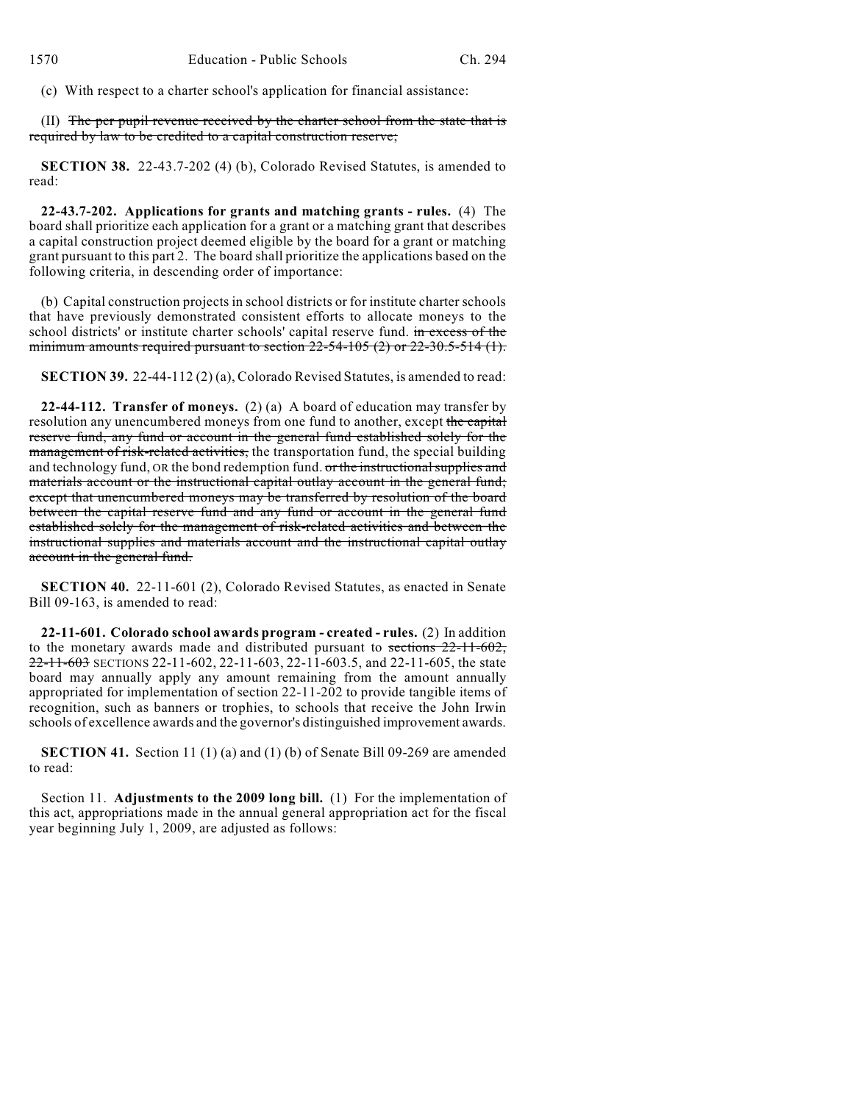(c) With respect to a charter school's application for financial assistance:

(II) The per pupil revenue received by the charter school from the state that is required by law to be credited to a capital construction reserve;

**SECTION 38.** 22-43.7-202 (4) (b), Colorado Revised Statutes, is amended to read:

**22-43.7-202. Applications for grants and matching grants - rules.** (4) The board shall prioritize each application for a grant or a matching grant that describes a capital construction project deemed eligible by the board for a grant or matching grant pursuant to this part 2. The board shall prioritize the applications based on the following criteria, in descending order of importance:

(b) Capital construction projects in school districts or for institute charter schools that have previously demonstrated consistent efforts to allocate moneys to the school districts' or institute charter schools' capital reserve fund. in excess of the minimum amounts required pursuant to section 22-54-105 (2) or 22-30.5-514 (1).

**SECTION 39.** 22-44-112 (2) (a), Colorado Revised Statutes, is amended to read:

**22-44-112. Transfer of moneys.** (2) (a) A board of education may transfer by resolution any unencumbered moneys from one fund to another, except the capital reserve fund, any fund or account in the general fund established solely for the management of risk-related activities, the transportation fund, the special building and technology fund, OR the bond redemption fund. or the instructional supplies and materials account or the instructional capital outlay account in the general fund; except that unencumbered moneys may be transferred by resolution of the board between the capital reserve fund and any fund or account in the general fund established solely for the management of risk-related activities and between the instructional supplies and materials account and the instructional capital outlay account in the general fund.

**SECTION 40.** 22-11-601 (2), Colorado Revised Statutes, as enacted in Senate Bill 09-163, is amended to read:

**22-11-601. Colorado school awards program - created - rules.** (2) In addition to the monetary awards made and distributed pursuant to sections 22-11-602,  $22-11-603$  SECTIONS 22-11-602, 22-11-603, 22-11-603.5, and 22-11-605, the state board may annually apply any amount remaining from the amount annually appropriated for implementation of section 22-11-202 to provide tangible items of recognition, such as banners or trophies, to schools that receive the John Irwin schools of excellence awards and the governor's distinguished improvement awards.

**SECTION 41.** Section 11 (1) (a) and (1) (b) of Senate Bill 09-269 are amended to read:

Section 11. **Adjustments to the 2009 long bill.** (1) For the implementation of this act, appropriations made in the annual general appropriation act for the fiscal year beginning July 1, 2009, are adjusted as follows: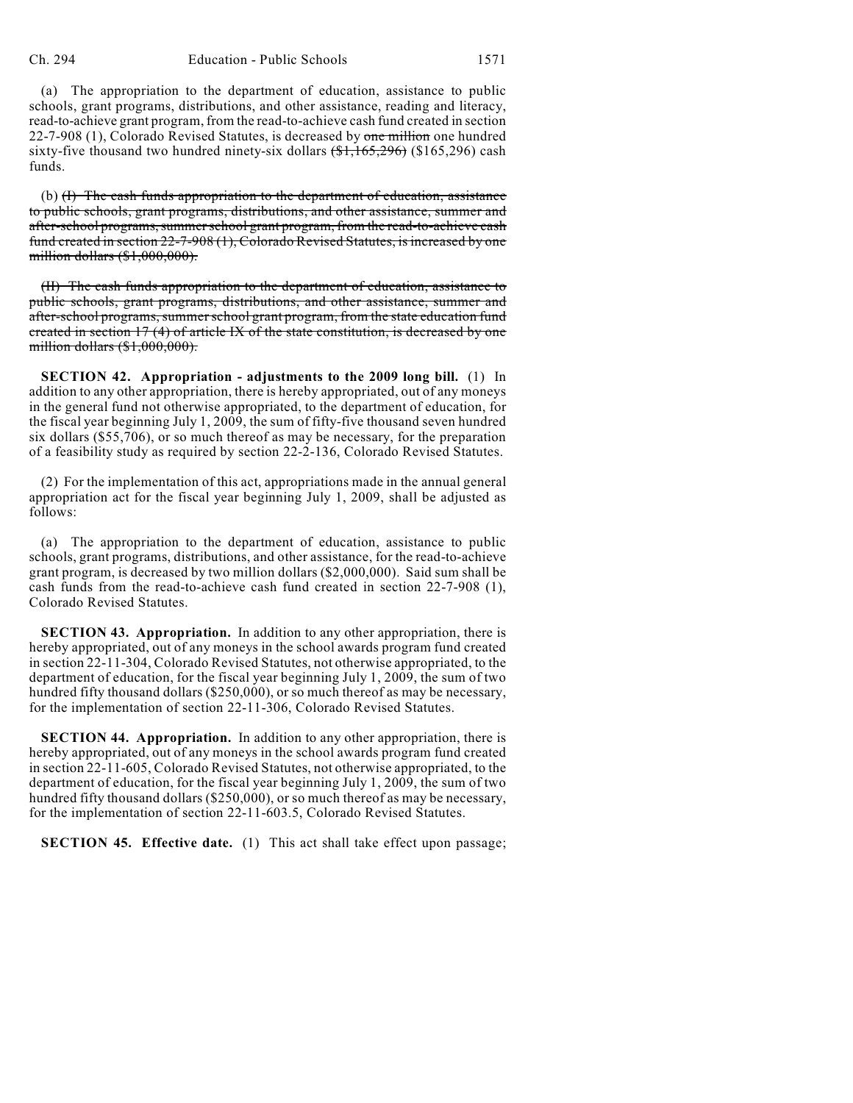(a) The appropriation to the department of education, assistance to public schools, grant programs, distributions, and other assistance, reading and literacy, read-to-achieve grant program, from the read-to-achieve cash fund created in section 22-7-908 (1), Colorado Revised Statutes, is decreased by one million one hundred sixty-five thousand two hundred ninety-six dollars  $(\text{$1,165,296})$  (\$165,296) cash funds.

(b) (I) The cash funds appropriation to the department of education, assistance to public schools, grant programs, distributions, and other assistance, summer and after-school programs, summer school grant program, from the read-to-achieve cash fund created in section 22-7-908 (1), Colorado Revised Statutes, is increased by one million dollars (\$1,000,000).

(II) The cash funds appropriation to the department of education, assistance to public schools, grant programs, distributions, and other assistance, summer and after-school programs, summer school grant program, from the state education fund created in section 17 (4) of article IX of the state constitution, is decreased by one million dollars (\$1,000,000).

**SECTION 42. Appropriation - adjustments to the 2009 long bill.** (1) In addition to any other appropriation, there is hereby appropriated, out of any moneys in the general fund not otherwise appropriated, to the department of education, for the fiscal year beginning July 1, 2009, the sum of fifty-five thousand seven hundred six dollars (\$55,706), or so much thereof as may be necessary, for the preparation of a feasibility study as required by section 22-2-136, Colorado Revised Statutes.

(2) For the implementation of this act, appropriations made in the annual general appropriation act for the fiscal year beginning July 1, 2009, shall be adjusted as follows:

(a) The appropriation to the department of education, assistance to public schools, grant programs, distributions, and other assistance, for the read-to-achieve grant program, is decreased by two million dollars (\$2,000,000). Said sum shall be cash funds from the read-to-achieve cash fund created in section 22-7-908 (1), Colorado Revised Statutes.

**SECTION 43. Appropriation.** In addition to any other appropriation, there is hereby appropriated, out of any moneys in the school awards program fund created in section 22-11-304, Colorado Revised Statutes, not otherwise appropriated, to the department of education, for the fiscal year beginning July 1, 2009, the sum of two hundred fifty thousand dollars (\$250,000), or so much thereof as may be necessary, for the implementation of section 22-11-306, Colorado Revised Statutes.

**SECTION 44. Appropriation.** In addition to any other appropriation, there is hereby appropriated, out of any moneys in the school awards program fund created in section 22-11-605, Colorado Revised Statutes, not otherwise appropriated, to the department of education, for the fiscal year beginning July 1, 2009, the sum of two hundred fifty thousand dollars (\$250,000), or so much thereof as may be necessary, for the implementation of section 22-11-603.5, Colorado Revised Statutes.

**SECTION 45. Effective date.** (1) This act shall take effect upon passage;